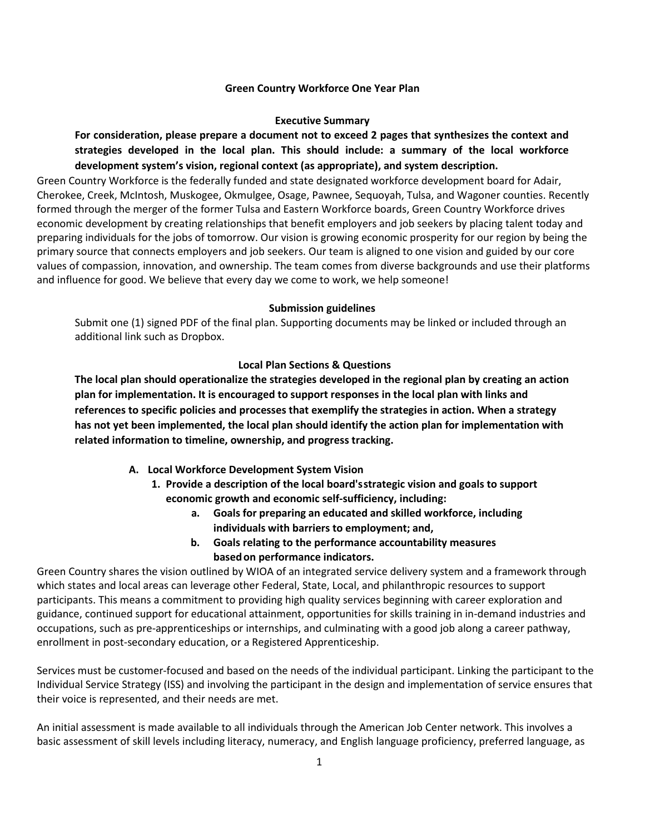#### **Green Country Workforce One Year Plan**

#### **Executive Summary**

**For consideration, please prepare a document not to exceed 2 pages that synthesizes the context and strategies developed in the local plan. This should include: a summary of the local workforce development system's vision, regional context (as appropriate), and system description.**

Green Country Workforce is the federally funded and state designated workforce development board for Adair, Cherokee, Creek, McIntosh, Muskogee, Okmulgee, Osage, Pawnee, Sequoyah, Tulsa, and Wagoner counties. Recently formed through the merger of the former Tulsa and Eastern Workforce boards, Green Country Workforce drives economic development by creating relationships that benefit employers and job seekers by placing talent today and preparing individuals for the jobs of tomorrow. Our vision is growing economic prosperity for our region by being the primary source that connects employers and job seekers. Our team is aligned to one vision and guided by our core values of compassion, innovation, and ownership. The team comes from diverse backgrounds and use their platforms and influence for good. We believe that every day we come to work, we help someone!

#### **Submission guidelines**

Submit one (1) signed PDF of the final plan. Supporting documents may be linked or included through an additional link such as Dropbox.

#### **Local Plan Sections & Questions**

**The local plan should operationalize the strategies developed in the regional plan by creating an action plan for implementation. It is encouraged to support responses in the local plan with links and references to specific policies and processes that exemplify the strategies in action. When a strategy has not yet been implemented, the local plan should identify the action plan for implementation with related information to timeline, ownership, and progress tracking.**

- **A. Local Workforce Development System Vision**
	- **1. Provide a description of the local board'sstrategic vision and goals to support economic growth and economic self-sufficiency, including:**
		- **a. Goals for preparing an educated and skilled workforce, including individuals with barriers to employment; and,**
		- **b. Goals relating to the performance accountability measures basedon performance indicators.**

Green Country shares the vision outlined by WIOA of an integrated service delivery system and a framework through which states and local areas can leverage other Federal, State, Local, and philanthropic resources to support participants. This means a commitment to providing high quality services beginning with career exploration and guidance, continued support for educational attainment, opportunities for skills training in in-demand industries and occupations, such as pre-apprenticeships or internships, and culminating with a good job along a career pathway, enrollment in post-secondary education, or a Registered Apprenticeship.

Services must be customer-focused and based on the needs of the individual participant. Linking the participant to the Individual Service Strategy (ISS) and involving the participant in the design and implementation of service ensures that their voice is represented, and their needs are met.

An initial assessment is made available to all individuals through the American Job Center network. This involves a basic assessment of skill levels including literacy, numeracy, and English language proficiency, preferred language, as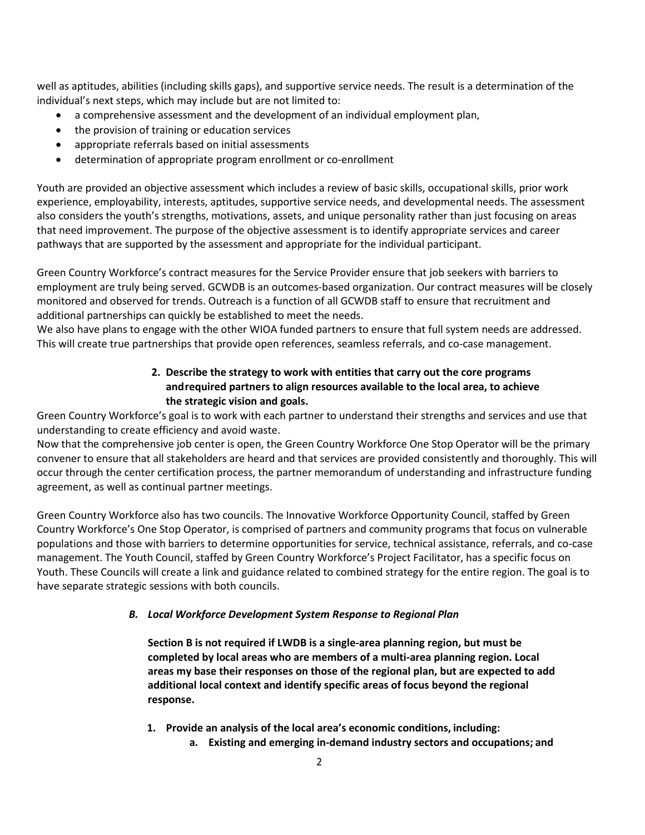well as aptitudes, abilities (including skills gaps), and supportive service needs. The result is a determination of the individual's next steps, which may include but are not limited to:

- a comprehensive assessment and the development of an individual employment plan,
- the provision of training or education services
- appropriate referrals based on initial assessments
- determination of appropriate program enrollment or co-enrollment

Youth are provided an objective assessment which includes a review of basic skills, occupational skills, prior work experience, employability, interests, aptitudes, supportive service needs, and developmental needs. The assessment also considers the youth's strengths, motivations, assets, and unique personality rather than just focusing on areas that need improvement. The purpose of the objective assessment is to identify appropriate services and career pathways that are supported by the assessment and appropriate for the individual participant.

Green Country Workforce's contract measures for the Service Provider ensure that job seekers with barriers to employment are truly being served. GCWDB is an outcomes-based organization. Our contract measures will be closely monitored and observed for trends. Outreach is a function of all GCWDB staff to ensure that recruitment and additional partnerships can quickly be established to meet the needs.

We also have plans to engage with the other WIOA funded partners to ensure that full system needs are addressed. This will create true partnerships that provide open references, seamless referrals, and co-case management.

# **2. Describe the strategy to work with entities that carry out the core programs andrequired partners to align resources available to the local area, to achieve the strategic vision and goals.**

Green Country Workforce's goal is to work with each partner to understand their strengths and services and use that understanding to create efficiency and avoid waste.

Now that the comprehensive job center is open, the Green Country Workforce One Stop Operator will be the primary convener to ensure that all stakeholders are heard and that services are provided consistently and thoroughly. This will occur through the center certification process, the partner memorandum of understanding and infrastructure funding agreement, as well as continual partner meetings.

Green Country Workforce also has two councils. The Innovative Workforce Opportunity Council, staffed by Green Country Workforce's One Stop Operator, is comprised of partners and community programs that focus on vulnerable populations and those with barriers to determine opportunities for service, technical assistance, referrals, and co-case management. The Youth Council, staffed by Green Country Workforce's Project Facilitator, has a specific focus on Youth. These Councils will create a link and guidance related to combined strategy for the entire region. The goal is to have separate strategic sessions with both councils.

### *B. Local Workforce Development System Response to Regional Plan*

**Section B is not required if LWDB is a single-area planning region, but must be completed by local areas who are members of a multi-area planning region. Local areas my base their responses on those of the regional plan, but are expected to add additional local context and identify specific areas of focus beyond the regional response.**

- **1. Provide an analysis of the local area's economic conditions, including:**
	- **a. Existing and emerging in-demand industry sectors and occupations; and**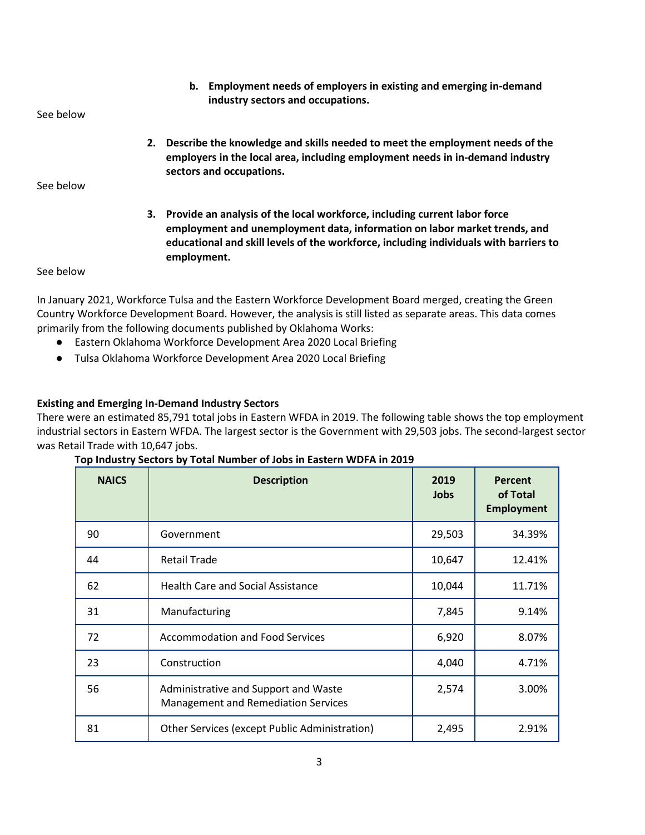**b. Employment needs of employers in existing and emerging in-demand industry sectors and occupations.**

See below

**2. Describe the knowledge and skills needed to meet the employment needs of the employers in the local area, including employment needs in in-demand industry sectors and occupations.** 

See below

**3. Provide an analysis of the local workforce, including current labor force employment and unemployment data, information on labor market trends, and educational and skill levels of the workforce, including individuals with barriers to employment.**

#### See below

In January 2021, Workforce Tulsa and the Eastern Workforce Development Board merged, creating the Green Country Workforce Development Board. However, the analysis is still listed as separate areas. This data comes primarily from the following documents published by Oklahoma Works:

- Eastern Oklahoma Workforce Development Area 2020 Local Briefing
- Tulsa Oklahoma Workforce Development Area 2020 Local Briefing

### **Existing and Emerging In-Demand Industry Sectors**

There were an estimated 85,791 total jobs in Eastern WFDA in 2019. The following table shows the top employment industrial sectors in Eastern WFDA. The largest sector is the Government with 29,503 jobs. The second-largest sector was Retail Trade with 10,647 jobs.

| <b>NAICS</b> | <b>Description</b>                                                                 | 2019<br><b>Jobs</b> | Percent<br>of Total<br><b>Employment</b> |
|--------------|------------------------------------------------------------------------------------|---------------------|------------------------------------------|
| 90           | Government                                                                         | 29,503              | 34.39%                                   |
| 44           | <b>Retail Trade</b>                                                                | 10,647              | 12.41%                                   |
| 62           | <b>Health Care and Social Assistance</b>                                           | 10,044              | 11.71%                                   |
| 31           | Manufacturing                                                                      | 7,845               | 9.14%                                    |
| 72           | <b>Accommodation and Food Services</b>                                             | 6,920               | 8.07%                                    |
| 23           | Construction                                                                       | 4,040               | 4.71%                                    |
| 56           | Administrative and Support and Waste<br><b>Management and Remediation Services</b> | 2,574               | 3.00%                                    |
| 81           | Other Services (except Public Administration)                                      | 2,495               | 2.91%                                    |

|  |  |  | Top Industry Sectors by Total Number of Jobs in Eastern WDFA in 2019 |
|--|--|--|----------------------------------------------------------------------|
|--|--|--|----------------------------------------------------------------------|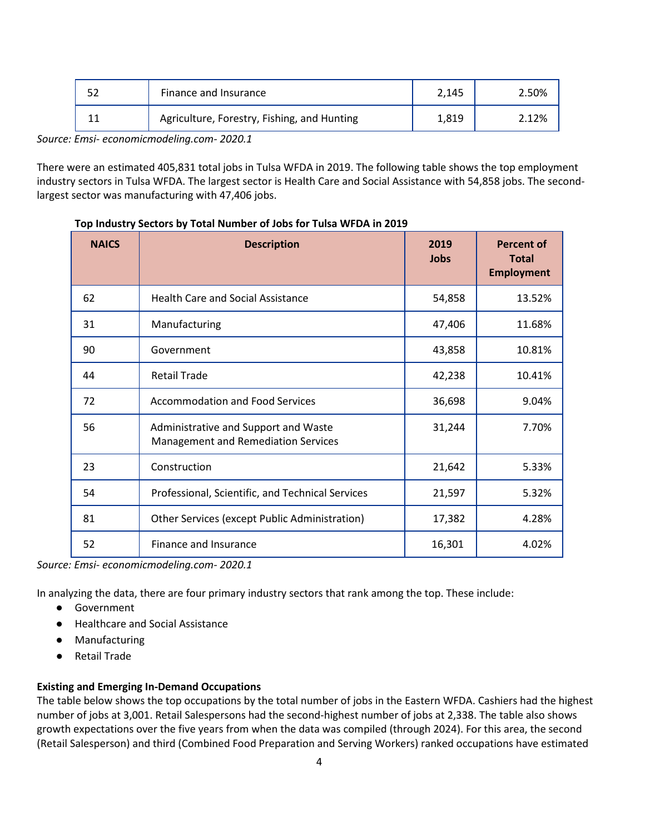| Finance and Insurance                       | 2.145 | 2.50% |
|---------------------------------------------|-------|-------|
| Agriculture, Forestry, Fishing, and Hunting | 1,819 | 2.12% |
| .                                           |       |       |

*Source: Emsi- economicmodeling.com- 2020.1* 

There were an estimated 405,831 total jobs in Tulsa WFDA in 2019. The following table shows the top employment industry sectors in Tulsa WFDA. The largest sector is Health Care and Social Assistance with 54,858 jobs. The secondlargest sector was manufacturing with 47,406 jobs.

| <b>NAICS</b> | <b>Description</b>                                                                 | 2019<br>Jobs | <b>Percent of</b><br><b>Total</b><br><b>Employment</b> |
|--------------|------------------------------------------------------------------------------------|--------------|--------------------------------------------------------|
| 62           | <b>Health Care and Social Assistance</b>                                           | 54,858       | 13.52%                                                 |
| 31           | Manufacturing                                                                      | 47,406       | 11.68%                                                 |
| 90           | Government                                                                         | 43,858       | 10.81%                                                 |
| 44           | <b>Retail Trade</b>                                                                | 42,238       | 10.41%                                                 |
| 72           | <b>Accommodation and Food Services</b>                                             | 36,698       | 9.04%                                                  |
| 56           | Administrative and Support and Waste<br><b>Management and Remediation Services</b> | 31,244       | 7.70%                                                  |
| 23           | Construction                                                                       | 21,642       | 5.33%                                                  |
| 54           | Professional, Scientific, and Technical Services                                   | 21,597       | 5.32%                                                  |
| 81           | Other Services (except Public Administration)                                      | 17,382       | 4.28%                                                  |
| 52           | Finance and Insurance                                                              | 16,301       | 4.02%                                                  |

#### **Top Industry Sectors by Total Number of Jobs for Tulsa WFDA in 2019**

*Source: Emsi- economicmodeling.com- 2020.1* 

In analyzing the data, there are four primary industry sectors that rank among the top. These include:

- Government
- Healthcare and Social Assistance
- Manufacturing
- Retail Trade

#### **Existing and Emerging In-Demand Occupations**

The table below shows the top occupations by the total number of jobs in the Eastern WFDA. Cashiers had the highest number of jobs at 3,001. Retail Salespersons had the second-highest number of jobs at 2,338. The table also shows growth expectations over the five years from when the data was compiled (through 2024). For this area, the second (Retail Salesperson) and third (Combined Food Preparation and Serving Workers) ranked occupations have estimated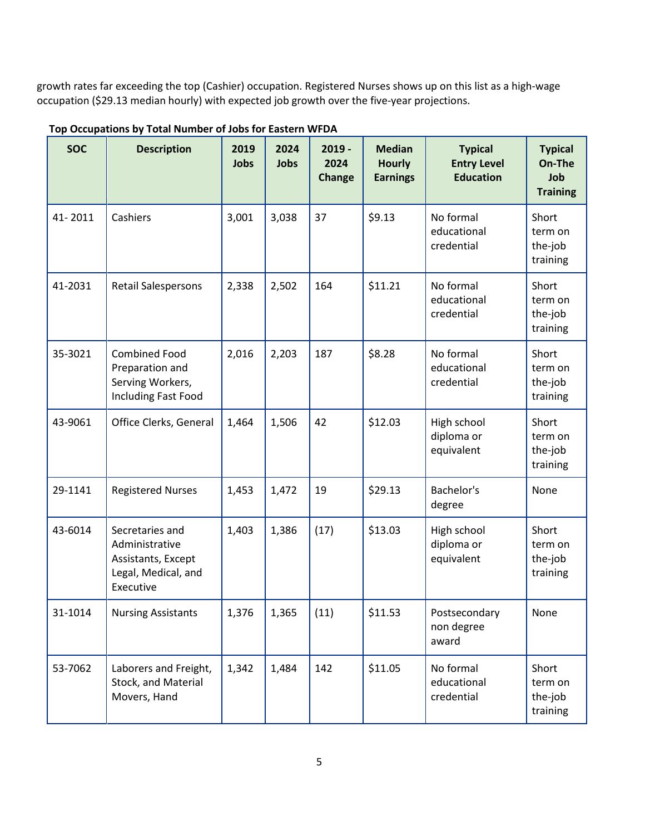growth rates far exceeding the top (Cashier) occupation. Registered Nurses shows up on this list as a high-wage occupation (\$29.13 median hourly) with expected job growth over the five-year projections.

| <b>SOC</b> | <b>Description</b>                                                                          | 2019<br>Jobs | 2024<br>Jobs | $2019 -$<br>2024<br>Change | <b>Median</b><br><b>Hourly</b><br><b>Earnings</b> | <b>Typical</b><br><b>Entry Level</b><br><b>Education</b> | <b>Typical</b><br>On-The<br>Job<br><b>Training</b> |
|------------|---------------------------------------------------------------------------------------------|--------------|--------------|----------------------------|---------------------------------------------------|----------------------------------------------------------|----------------------------------------------------|
| 41-2011    | Cashiers                                                                                    | 3,001        | 3,038        | 37                         | \$9.13                                            | No formal<br>educational<br>credential                   | Short<br>term on<br>the-job<br>training            |
| 41-2031    | <b>Retail Salespersons</b>                                                                  | 2,338        | 2,502        | 164                        | \$11.21                                           | No formal<br>educational<br>credential                   | Short<br>term on<br>the-job<br>training            |
| 35-3021    | <b>Combined Food</b><br>Preparation and<br>Serving Workers,<br>Including Fast Food          | 2,016        | 2,203        | 187                        | \$8.28                                            | No formal<br>educational<br>credential                   | Short<br>term on<br>the-job<br>training            |
| 43-9061    | Office Clerks, General                                                                      | 1,464        | 1,506        | 42                         | \$12.03                                           | High school<br>diploma or<br>equivalent                  | Short<br>term on<br>the-job<br>training            |
| 29-1141    | <b>Registered Nurses</b>                                                                    | 1,453        | 1,472        | 19                         | \$29.13                                           | Bachelor's<br>degree                                     | None                                               |
| 43-6014    | Secretaries and<br>Administrative<br>Assistants, Except<br>Legal, Medical, and<br>Executive | 1,403        | 1,386        | (17)                       | \$13.03                                           | High school<br>diploma or<br>equivalent                  | Short<br>term on<br>the-job<br>training            |
| 31-1014    | <b>Nursing Assistants</b>                                                                   | 1,376        | 1,365        | (11)                       | \$11.53                                           | Postsecondary<br>non degree<br>award                     | None                                               |
| 53-7062    | Laborers and Freight,<br>Stock, and Material<br>Movers, Hand                                | 1,342        | 1,484        | 142                        | \$11.05                                           | No formal<br>educational<br>credential                   | Short<br>term on<br>the-job<br>training            |

**Top Occupations by Total Number of Jobs for Eastern WFDA**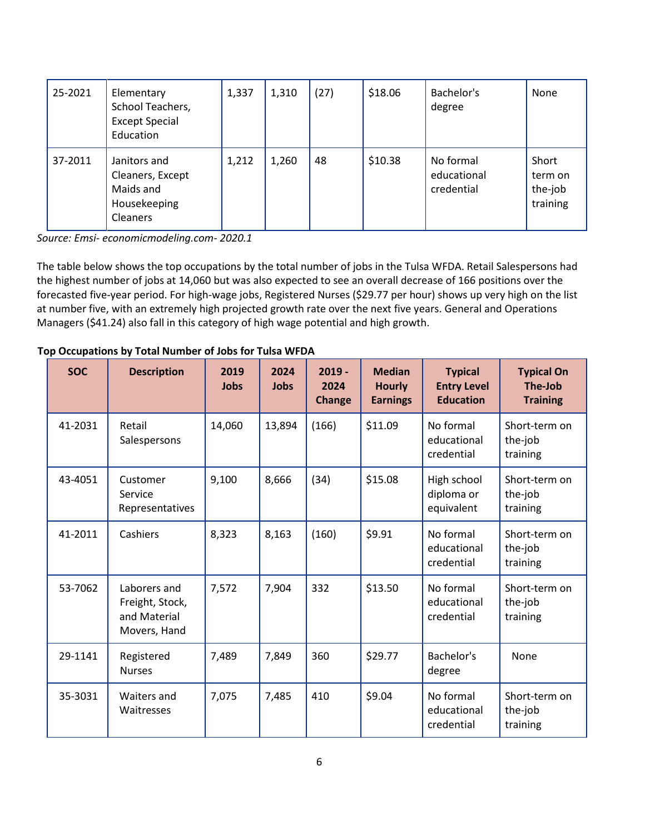| 25-2021 | Elementary<br>School Teachers,<br><b>Except Special</b><br>Education             | 1,337 | 1,310 | (27) | \$18.06 | Bachelor's<br>degree                   | None                                    |
|---------|----------------------------------------------------------------------------------|-------|-------|------|---------|----------------------------------------|-----------------------------------------|
| 37-2011 | Janitors and<br>Cleaners, Except<br>Maids and<br>Housekeeping<br><b>Cleaners</b> | 1,212 | 1,260 | 48   | \$10.38 | No formal<br>educational<br>credential | Short<br>term on<br>the-job<br>training |

*Source: Emsi- economicmodeling.com- 2020.1*

The table below shows the top occupations by the total number of jobs in the Tulsa WFDA. Retail Salespersons had the highest number of jobs at 14,060 but was also expected to see an overall decrease of 166 positions over the forecasted five-year period. For high-wage jobs, Registered Nurses (\$29.77 per hour) shows up very high on the list at number five, with an extremely high projected growth rate over the next five years. General and Operations Managers (\$41.24) also fall in this category of high wage potential and high growth.

| <b>SOC</b> | <b>Description</b>                                              | 2019<br><b>Jobs</b> | 2024<br><b>Jobs</b> | $2019 -$<br>2024<br><b>Change</b> | <b>Median</b><br><b>Hourly</b><br><b>Earnings</b> | <b>Typical</b><br><b>Entry Level</b><br><b>Education</b> | <b>Typical On</b><br>The-Job<br><b>Training</b> |
|------------|-----------------------------------------------------------------|---------------------|---------------------|-----------------------------------|---------------------------------------------------|----------------------------------------------------------|-------------------------------------------------|
| 41-2031    | Retail<br>Salespersons                                          | 14,060              | 13,894              | (166)                             | \$11.09                                           | No formal<br>educational<br>credential                   | Short-term on<br>the-job<br>training            |
| 43-4051    | Customer<br>Service<br>Representatives                          | 9,100               | 8,666               | (34)                              | \$15.08                                           | High school<br>diploma or<br>equivalent                  | Short-term on<br>the-job<br>training            |
| 41-2011    | Cashiers                                                        | 8,323               | 8,163               | (160)                             | \$9.91                                            | No formal<br>educational<br>credential                   | Short-term on<br>the-job<br>training            |
| 53-7062    | Laborers and<br>Freight, Stock,<br>and Material<br>Movers, Hand | 7,572               | 7,904               | 332                               | \$13.50                                           | No formal<br>educational<br>credential                   | Short-term on<br>the-job<br>training            |
| 29-1141    | Registered<br><b>Nurses</b>                                     | 7,489               | 7,849               | 360                               | \$29.77                                           | Bachelor's<br>degree                                     | None                                            |
| 35-3031    | Waiters and<br>Waitresses                                       | 7,075               | 7,485               | 410                               | \$9.04                                            | No formal<br>educational<br>credential                   | Short-term on<br>the-job<br>training            |

**Top Occupations by Total Number of Jobs for Tulsa WFDA**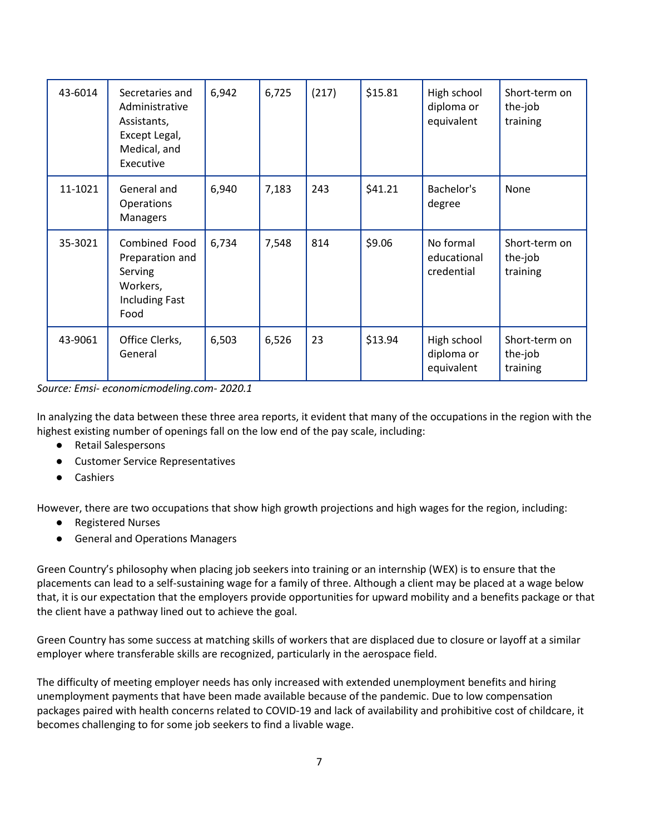| 43-6014 | Secretaries and<br>Administrative<br>Assistants,<br>Except Legal,<br>Medical, and<br>Executive | 6,942 | 6,725 | (217) | \$15.81 | High school<br>diploma or<br>equivalent | Short-term on<br>the-job<br>training |
|---------|------------------------------------------------------------------------------------------------|-------|-------|-------|---------|-----------------------------------------|--------------------------------------|
| 11-1021 | General and<br>Operations<br><b>Managers</b>                                                   | 6,940 | 7,183 | 243   | \$41.21 | Bachelor's<br>degree                    | None                                 |
| 35-3021 | Combined Food<br>Preparation and<br>Serving<br>Workers,<br><b>Including Fast</b><br>Food       | 6,734 | 7,548 | 814   | \$9.06  | No formal<br>educational<br>credential  | Short-term on<br>the-job<br>training |
| 43-9061 | Office Clerks,<br>General                                                                      | 6,503 | 6,526 | 23    | \$13.94 | High school<br>diploma or<br>equivalent | Short-term on<br>the-job<br>training |

*Source: Emsi- economicmodeling.com- 2020.1*

In analyzing the data between these three area reports, it evident that many of the occupations in the region with the highest existing number of openings fall on the low end of the pay scale, including:

- Retail Salespersons
- Customer Service Representatives
- Cashiers

However, there are two occupations that show high growth projections and high wages for the region, including:

- Registered Nurses
- General and Operations Managers

Green Country's philosophy when placing job seekers into training or an internship (WEX) is to ensure that the placements can lead to a self-sustaining wage for a family of three. Although a client may be placed at a wage below that, it is our expectation that the employers provide opportunities for upward mobility and a benefits package or that the client have a pathway lined out to achieve the goal.

Green Country has some success at matching skills of workers that are displaced due to closure or layoff at a similar employer where transferable skills are recognized, particularly in the aerospace field.

The difficulty of meeting employer needs has only increased with extended unemployment benefits and hiring unemployment payments that have been made available because of the pandemic. Due to low compensation packages paired with health concerns related to COVID-19 and lack of availability and prohibitive cost of childcare, it becomes challenging to for some job seekers to find a livable wage.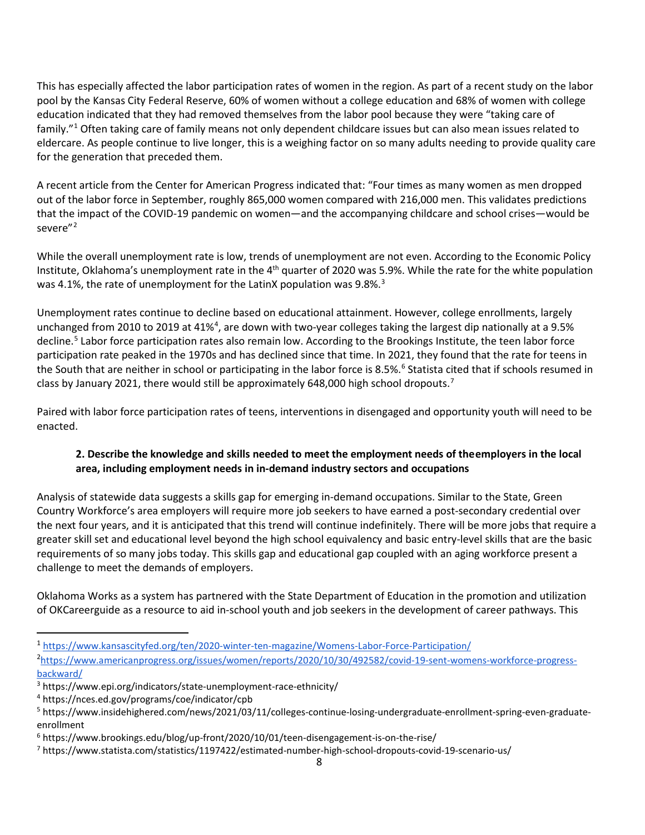This has especially affected the labor participation rates of women in the region. As part of a recent study on the labor pool by the Kansas City Federal Reserve, 60% of women without a college education and 68% of women with college education indicated that they had removed themselves from the labor pool because they were "taking care of family."[1](#page-7-0) Often taking care of family means not only dependent childcare issues but can also mean issues related to eldercare. As people continue to live longer, this is a weighing factor on so many adults needing to provide quality care for the generation that preceded them.

A recent article from the Center for American Progress indicated that: "Four times as many women as men dropped out of the labor force in September, roughly 865,000 women compared with 216,000 men. This validates predictions that the impact of the COVID-19 pandemic on women—and the accompanying childcare and school crises—would be severe"<sup>[2](#page-7-1)</sup>

While the overall unemployment rate is low, trends of unemployment are not even. According to the Economic Policy Institute, Oklahoma's unemployment rate in the  $4<sup>th</sup>$  quarter of 2020 was 5.9%. While the rate for the white population was 4.1%, the rate of unemployment for the LatinX population was 9.8%. $3$ 

Unemployment rates continue to decline based on educational attainment. However, college enrollments, largely unchanged from 2010 to 2019 at [4](#page-7-3)1%<sup>4</sup>, are down with two-year colleges taking the largest dip nationally at a 9.5% decline.<sup>[5](#page-7-4)</sup> Labor force participation rates also remain low. According to the Brookings Institute, the teen labor force participation rate peaked in the 1970s and has declined since that time. In 2021, they found that the rate for teens in the South that are neither in school or participating in the labor force is 8.5%.<sup>[6](#page-7-5)</sup> Statista cited that if schools resumed in class by January 2021, there would still be approximately 648,000 high school dropouts.<sup>[7](#page-7-6)</sup>

Paired with labor force participation rates of teens, interventions in disengaged and opportunity youth will need to be enacted.

## **2. Describe the knowledge and skills needed to meet the employment needs of theemployers in the local area, including employment needs in in-demand industry sectors and occupations**

Analysis of statewide data suggests a skills gap for emerging in-demand occupations. Similar to the State, Green Country Workforce's area employers will require more job seekers to have earned a post-secondary credential over the next four years, and it is anticipated that this trend will continue indefinitely. There will be more jobs that require a greater skill set and educational level beyond the high school equivalency and basic entry-level skills that are the basic requirements of so many jobs today. This skills gap and educational gap coupled with an aging workforce present a challenge to meet the demands of employers.

Oklahoma Works as a system has partnered with the State Department of Education in the promotion and utilization of OKCareerguide as a resource to aid in-school youth and job seekers in the development of career pathways. This

<span id="page-7-1"></span>[https://www.americanprogress.org/issues/women/reports/2020/10/30/492582/covid-19-sent-womens-workforce-progress-](https://www.americanprogress.org/issues/women/reports/2020/10/30/492582/covid-19-sent-womens-workforce-progress-backward/) $\frac{backward}{3}$ <br><sup>3</sup> https://www.epi.org/indicators/state-unemployment-race-ethnicity/

<span id="page-7-0"></span><sup>1</sup> <https://www.kansascityfed.org/ten/2020-winter-ten-magazine/Womens-Labor-Force-Participation/>2

<span id="page-7-2"></span>

<span id="page-7-3"></span><sup>4</sup> https://nces.ed.gov/programs/coe/indicator/cpb

<span id="page-7-4"></span><sup>5</sup> https://www.insidehighered.com/news/2021/03/11/colleges-continue-losing-undergraduate-enrollment-spring-even-graduateenrollment

<span id="page-7-5"></span><sup>6</sup> https://www.brookings.edu/blog/up-front/2020/10/01/teen-disengagement-is-on-the-rise/

<span id="page-7-6"></span><sup>7</sup> https://www.statista.com/statistics/1197422/estimated-number-high-school-dropouts-covid-19-scenario-us/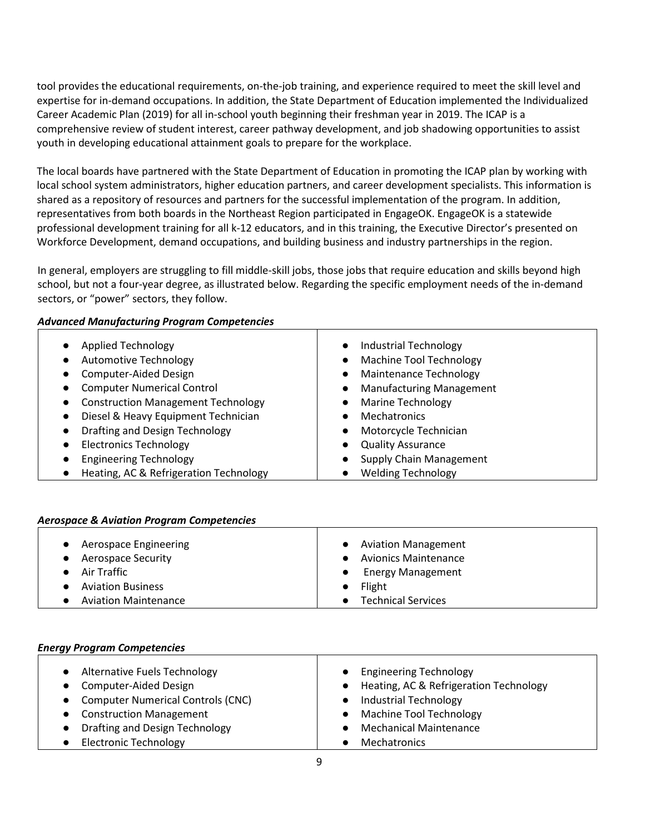tool provides the educational requirements, on-the-job training, and experience required to meet the skill level and expertise for in-demand occupations. In addition, the State Department of Education implemented the Individualized Career Academic Plan (2019) for all in-school youth beginning their freshman year in 2019. The ICAP is a comprehensive review of student interest, career pathway development, and job shadowing opportunities to assist youth in developing educational attainment goals to prepare for the workplace.

The local boards have partnered with the State Department of Education in promoting the ICAP plan by working with local school system administrators, higher education partners, and career development specialists. This information is shared as a repository of resources and partners for the successful implementation of the program. In addition, representatives from both boards in the Northeast Region participated in EngageOK. EngageOK is a statewide professional development training for all k-12 educators, and in this training, the Executive Director's presented on Workforce Development, demand occupations, and building business and industry partnerships in the region.

In general, employers are struggling to fill middle-skill jobs, those jobs that require education and skills beyond high school, but not a four-year degree, as illustrated below. Regarding the specific employment needs of the in-demand sectors, or "power" sectors, they follow.

## *Advanced Manufacturing Program Competencies*

| <b>Applied Technology</b>                              | Industrial Technology                       |
|--------------------------------------------------------|---------------------------------------------|
| <b>Automotive Technology</b><br>$\bullet$              | <b>Machine Tool Technology</b><br>$\bullet$ |
| Computer-Aided Design                                  | Maintenance Technology<br>$\bullet$         |
| <b>Computer Numerical Control</b><br>$\bullet$         | <b>Manufacturing Management</b>             |
| <b>Construction Management Technology</b><br>$\bullet$ | Marine Technology                           |
| Diesel & Heavy Equipment Technician                    | <b>Mechatronics</b>                         |
| Drafting and Design Technology                         | Motorcycle Technician<br>$\bullet$          |
| <b>Electronics Technology</b>                          | <b>Quality Assurance</b>                    |
| <b>Engineering Technology</b>                          | <b>Supply Chain Management</b>              |
| Heating, AC & Refrigeration Technology                 | <b>Welding Technology</b>                   |

### *Aerospace & Aviation Program Competencies*

| Aerospace Engineering       | <b>Aviation Management</b>            |
|-----------------------------|---------------------------------------|
| <b>Aerospace Security</b>   | <b>Avionics Maintenance</b>           |
| Air Traffic                 | <b>Energy Management</b><br>$\bullet$ |
| <b>Aviation Business</b>    | Flight                                |
| <b>Aviation Maintenance</b> | <b>Technical Services</b>             |

#### *Energy Program Competencies*

| • Alternative Fuels Technology<br>• Computer-Aided Design | <b>Engineering Technology</b><br>Heating, AC & Refrigeration Technology<br>$\bullet$ |
|-----------------------------------------------------------|--------------------------------------------------------------------------------------|
|                                                           |                                                                                      |
|                                                           |                                                                                      |
| • Computer Numerical Controls (CNC)                       | <b>Industrial Technology</b>                                                         |
| • Construction Management                                 | <b>Machine Tool Technology</b><br>$\bullet$                                          |
| <b>Drafting and Design Technology</b>                     | <b>Mechanical Maintenance</b>                                                        |
| <b>Electronic Technology</b>                              | <b>Mechatronics</b>                                                                  |
|                                                           |                                                                                      |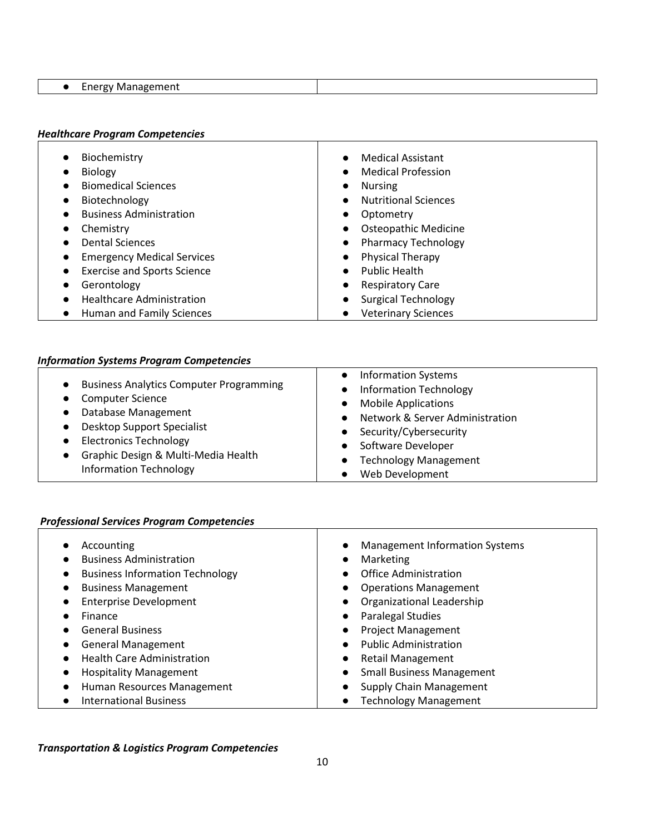| - --<br>$-$<br>.<br>v<br>. . |  |
|------------------------------|--|

# *Healthcare Program Competencies*

| Biochemistry                           | <b>Medical Assistant</b>    |
|----------------------------------------|-----------------------------|
|                                        | $\bullet$                   |
| <b>Biology</b>                         | <b>Medical Profession</b>   |
|                                        | $\bullet$                   |
| <b>Biomedical Sciences</b>             | <b>Nursing</b><br>$\bullet$ |
| Biotechnology                          | <b>Nutritional Sciences</b> |
| $\bullet$                              | $\bullet$                   |
| <b>Business Administration</b>         | Optometry                   |
|                                        | $\bullet$                   |
| Chemistry                              | <b>Osteopathic Medicine</b> |
| $\bullet$                              | $\bullet$                   |
| <b>Dental Sciences</b>                 | <b>Pharmacy Technology</b>  |
|                                        | $\bullet$                   |
| <b>Emergency Medical Services</b>      | <b>Physical Therapy</b>     |
| $\bullet$                              | $\bullet$                   |
| <b>Exercise and Sports Science</b>     | <b>Public Health</b>        |
| $\bullet$                              | $\bullet$                   |
| Gerontology                            | <b>Respiratory Care</b>     |
| $\bullet$                              | $\bullet$                   |
| <b>Healthcare Administration</b>       | <b>Surgical Technology</b>  |
| $\bullet$                              | $\bullet$                   |
| Human and Family Sciences<br>$\bullet$ | <b>Veterinary Sciences</b>  |
|                                        |                             |

# *Information Systems Program Competencies*

## *Professional Services Program Competencies*

| Accounting                             | <b>Management Information Systems</b><br>$\bullet$ |
|----------------------------------------|----------------------------------------------------|
| <b>Business Administration</b>         | Marketing<br>$\bullet$                             |
| <b>Business Information Technology</b> | <b>Office Administration</b><br>$\bullet$          |
| <b>Business Management</b>             | <b>Operations Management</b><br>$\bullet$          |
| <b>Enterprise Development</b>          | Organizational Leadership<br>$\bullet$             |
| Finance                                | Paralegal Studies<br>$\bullet$                     |
| <b>General Business</b>                | <b>Project Management</b><br>$\bullet$             |
| <b>General Management</b>              | <b>Public Administration</b><br>$\bullet$          |
| <b>Health Care Administration</b>      | <b>Retail Management</b><br>$\bullet$              |
| <b>Hospitality Management</b>          | <b>Small Business Management</b><br>$\bullet$      |
| Human Resources Management             | Supply Chain Management<br>$\bullet$               |
| <b>International Business</b>          | <b>Technology Management</b>                       |
|                                        |                                                    |

*Transportation & Logistics Program Competencies*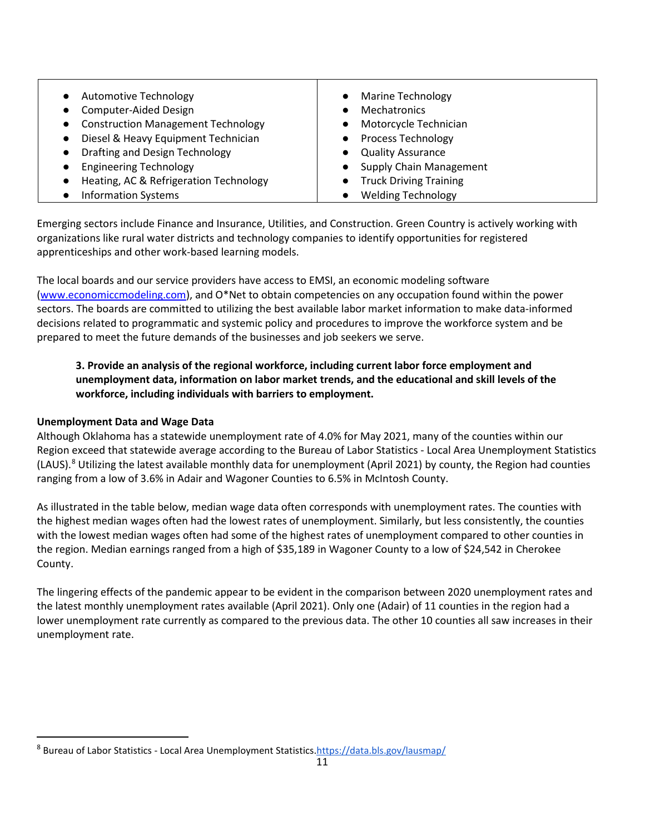| <b>Automotive Technology</b>              | <b>Marine Technology</b>       |
|-------------------------------------------|--------------------------------|
| Computer-Aided Design                     | <b>Mechatronics</b>            |
| <b>Construction Management Technology</b> | Motorcycle Technician          |
| Diesel & Heavy Equipment Technician       | <b>Process Technology</b>      |
| Drafting and Design Technology            | <b>Quality Assurance</b>       |
| <b>Engineering Technology</b>             | <b>Supply Chain Management</b> |
| Heating, AC & Refrigeration Technology    | <b>Truck Driving Training</b>  |
| <b>Information Systems</b>                | <b>Welding Technology</b>      |

Emerging sectors include Finance and Insurance, Utilities, and Construction. Green Country is actively working with organizations like rural water districts and technology companies to identify opportunities for registered apprenticeships and other work-based learning models.

The local boards and our service providers have access to EMSI, an economic modeling software [\(www.economiccmodeling.com\)](http://www.economiccmodeling.com/), and O\*Net to obtain competencies on any occupation found within the power sectors. The boards are committed to utilizing the best available labor market information to make data-informed decisions related to programmatic and systemic policy and procedures to improve the workforce system and be prepared to meet the future demands of the businesses and job seekers we serve.

# **3. Provide an analysis of the regional workforce, including current labor force employment and unemployment data, information on labor market trends, and the educational and skill levels of the workforce, including individuals with barriers to employment.**

## **Unemployment Data and Wage Data**

Although Oklahoma has a statewide unemployment rate of 4.0% for May 2021, many of the counties within our Region exceed that statewide average according to the Bureau of Labor Statistics - Local Area Unemployment Statistics (LAUS).[8](#page-10-0) Utilizing the latest available monthly data for unemployment (April 2021) by county, the Region had counties ranging from a low of 3.6% in Adair and Wagoner Counties to 6.5% in McIntosh County.

As illustrated in the table below, median wage data often corresponds with unemployment rates. The counties with the highest median wages often had the lowest rates of unemployment. Similarly, but less consistently, the counties with the lowest median wages often had some of the highest rates of unemployment compared to other counties in the region. Median earnings ranged from a high of \$35,189 in Wagoner County to a low of \$24,542 in Cherokee County.

The lingering effects of the pandemic appear to be evident in the comparison between 2020 unemployment rates and the latest monthly unemployment rates available (April 2021). Only one (Adair) of 11 counties in the region had a lower unemployment rate currently as compared to the previous data. The other 10 counties all saw increases in their unemployment rate.

<span id="page-10-0"></span><sup>8</sup> Bureau of Labor Statistics - Local Area Unemployment Statistic[s.https://data.bls.gov/lausmap/](https://data.bls.gov/lausmap/)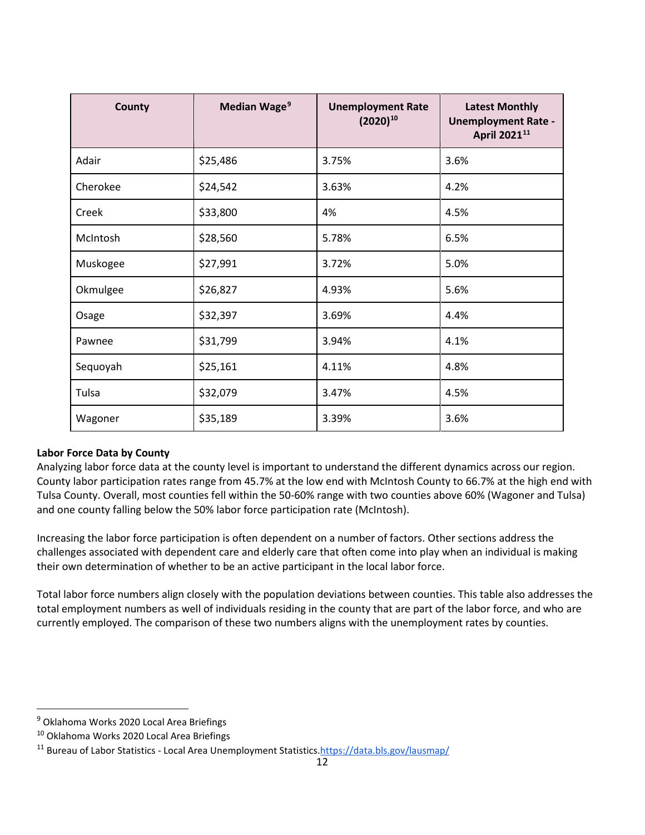| <b>County</b> | Median Wage <sup>9</sup> | <b>Unemployment Rate</b><br>$(2020)^{10}$ | <b>Latest Monthly</b><br><b>Unemployment Rate -</b><br>April 2021 <sup>11</sup> |
|---------------|--------------------------|-------------------------------------------|---------------------------------------------------------------------------------|
| Adair         | \$25,486                 | 3.75%                                     | 3.6%                                                                            |
| Cherokee      | \$24,542                 | 3.63%                                     | 4.2%                                                                            |
| Creek         | \$33,800                 | 4%                                        | 4.5%                                                                            |
| McIntosh      | \$28,560                 | 5.78%                                     | 6.5%                                                                            |
| Muskogee      | \$27,991                 | 3.72%                                     | 5.0%                                                                            |
| Okmulgee      | \$26,827                 | 4.93%                                     | 5.6%                                                                            |
| Osage         | \$32,397                 | 3.69%                                     | 4.4%                                                                            |
| Pawnee        | \$31,799                 | 3.94%                                     | 4.1%                                                                            |
| Sequoyah      | \$25,161                 | 4.11%                                     | 4.8%                                                                            |
| Tulsa         | \$32,079                 | 3.47%                                     | 4.5%                                                                            |
| Wagoner       | \$35,189                 | 3.39%                                     | 3.6%                                                                            |

## **Labor Force Data by County**

Analyzing labor force data at the county level is important to understand the different dynamics across our region. County labor participation rates range from 45.7% at the low end with McIntosh County to 66.7% at the high end with Tulsa County. Overall, most counties fell within the 50-60% range with two counties above 60% (Wagoner and Tulsa) and one county falling below the 50% labor force participation rate (McIntosh).

Increasing the labor force participation is often dependent on a number of factors. Other sections address the challenges associated with dependent care and elderly care that often come into play when an individual is making their own determination of whether to be an active participant in the local labor force.

Total labor force numbers align closely with the population deviations between counties. This table also addresses the total employment numbers as well of individuals residing in the county that are part of the labor force, and who are currently employed. The comparison of these two numbers aligns with the unemployment rates by counties.

<span id="page-11-0"></span><sup>&</sup>lt;sup>9</sup> Oklahoma Works 2020 Local Area Briefings

<span id="page-11-1"></span><sup>10</sup> Oklahoma Works 2020 Local Area Briefings

<span id="page-11-2"></span><sup>&</sup>lt;sup>11</sup> Bureau of Labor Statistics - Local Area Unemployment Statistics.https://data.bls.gov/lausmap/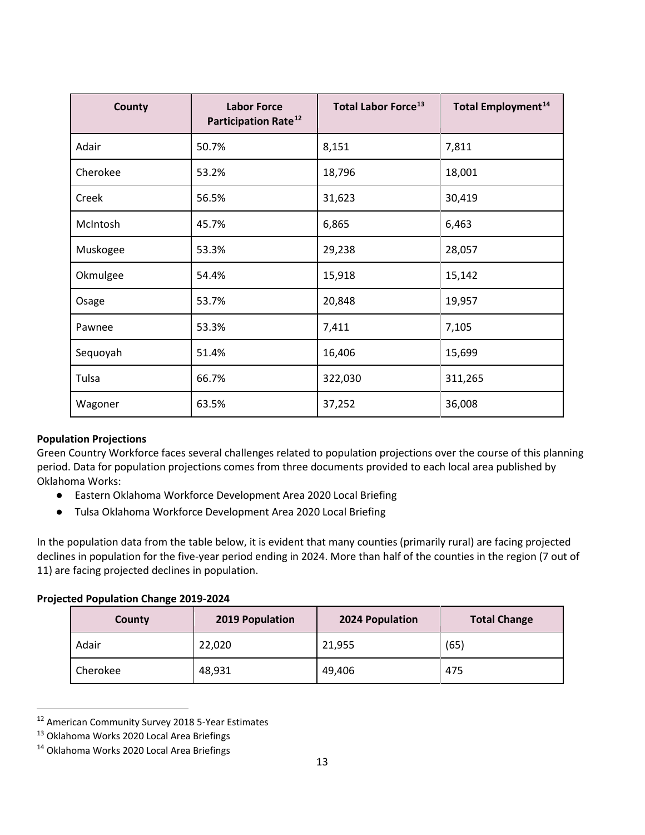| <b>County</b> | <b>Labor Force</b><br>Participation Rate <sup>12</sup> | <b>Total Labor Force<sup>13</sup></b> | <b>Total Employment<sup>14</sup></b> |
|---------------|--------------------------------------------------------|---------------------------------------|--------------------------------------|
| Adair         | 50.7%                                                  | 8,151                                 | 7,811                                |
| Cherokee      | 53.2%                                                  | 18,796                                | 18,001                               |
| Creek         | 56.5%                                                  | 31,623                                | 30,419                               |
| McIntosh      | 45.7%                                                  | 6,865                                 | 6,463                                |
| Muskogee      | 53.3%                                                  | 29,238                                | 28,057                               |
| Okmulgee      | 54.4%                                                  | 15,918                                | 15,142                               |
| Osage         | 53.7%                                                  | 20,848                                | 19,957                               |
| Pawnee        | 53.3%                                                  | 7,411                                 | 7,105                                |
| Sequoyah      | 51.4%                                                  | 16,406                                | 15,699                               |
| Tulsa         | 66.7%                                                  | 322,030                               | 311,265                              |
| Wagoner       | 63.5%                                                  | 37,252                                | 36,008                               |

### **Population Projections**

Green Country Workforce faces several challenges related to population projections over the course of this planning period. Data for population projections comes from three documents provided to each local area published by Oklahoma Works:

- Eastern Oklahoma Workforce Development Area 2020 Local Briefing
- Tulsa Oklahoma Workforce Development Area 2020 Local Briefing

In the population data from the table below, it is evident that many counties (primarily rural) are facing projected declines in population for the five-year period ending in 2024. More than half of the counties in the region (7 out of 11) are facing projected declines in population.

### **Projected Population Change 2019-2024**

| County   | 2019 Population | 2024 Population | <b>Total Change</b> |
|----------|-----------------|-----------------|---------------------|
| Adair    | 22,020          | 21,955          | (65)                |
| Cherokee | 48,931          | 49,406          | 475                 |

<span id="page-12-0"></span><sup>12</sup> American Community Survey 2018 5-Year Estimates

<span id="page-12-1"></span><sup>&</sup>lt;sup>13</sup> Oklahoma Works 2020 Local Area Briefings

<span id="page-12-2"></span><sup>14</sup> Oklahoma Works 2020 Local Area Briefings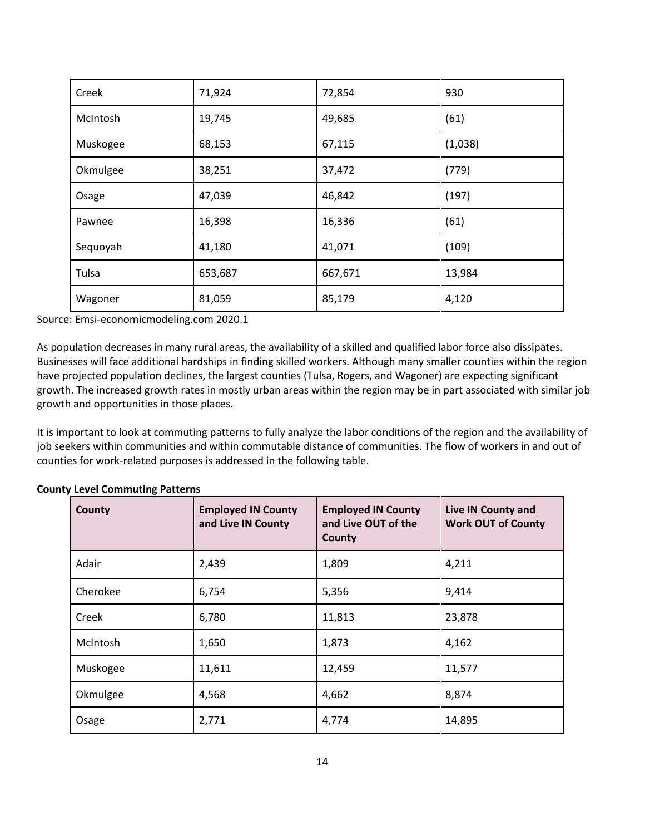| Creek    | 71,924  | 72,854  | 930     |
|----------|---------|---------|---------|
| McIntosh | 19,745  | 49,685  | (61)    |
| Muskogee | 68,153  | 67,115  | (1,038) |
| Okmulgee | 38,251  | 37,472  | (779)   |
| Osage    | 47,039  | 46,842  | (197)   |
| Pawnee   | 16,398  | 16,336  | (61)    |
| Sequoyah | 41,180  | 41,071  | (109)   |
| Tulsa    | 653,687 | 667,671 | 13,984  |
| Wagoner  | 81,059  | 85,179  | 4,120   |

Source: Emsi-economicmodeling.com 2020.1

As population decreases in many rural areas, the availability of a skilled and qualified labor force also dissipates. Businesses will face additional hardships in finding skilled workers. Although many smaller counties within the region have projected population declines, the largest counties (Tulsa, Rogers, and Wagoner) are expecting significant growth. The increased growth rates in mostly urban areas within the region may be in part associated with similar job growth and opportunities in those places.

It is important to look at commuting patterns to fully analyze the labor conditions of the region and the availability of job seekers within communities and within commutable distance of communities. The flow of workers in and out of counties for work-related purposes is addressed in the following table.

| County   | <b>Employed IN County</b><br>and Live IN County | <b>Employed IN County</b><br>and Live OUT of the<br>County | Live IN County and<br><b>Work OUT of County</b> |
|----------|-------------------------------------------------|------------------------------------------------------------|-------------------------------------------------|
| Adair    | 2,439                                           | 1,809                                                      | 4,211                                           |
| Cherokee | 6,754                                           | 5,356                                                      | 9,414                                           |
| Creek    | 6,780                                           | 11,813                                                     | 23,878                                          |
| McIntosh | 1,650                                           | 1,873                                                      | 4,162                                           |
| Muskogee | 11,611                                          | 12,459                                                     | 11,577                                          |
| Okmulgee | 4,568                                           | 4,662                                                      | 8,874                                           |
| Osage    | 2,771                                           | 4,774                                                      | 14,895                                          |

#### **County Level Commuting Patterns**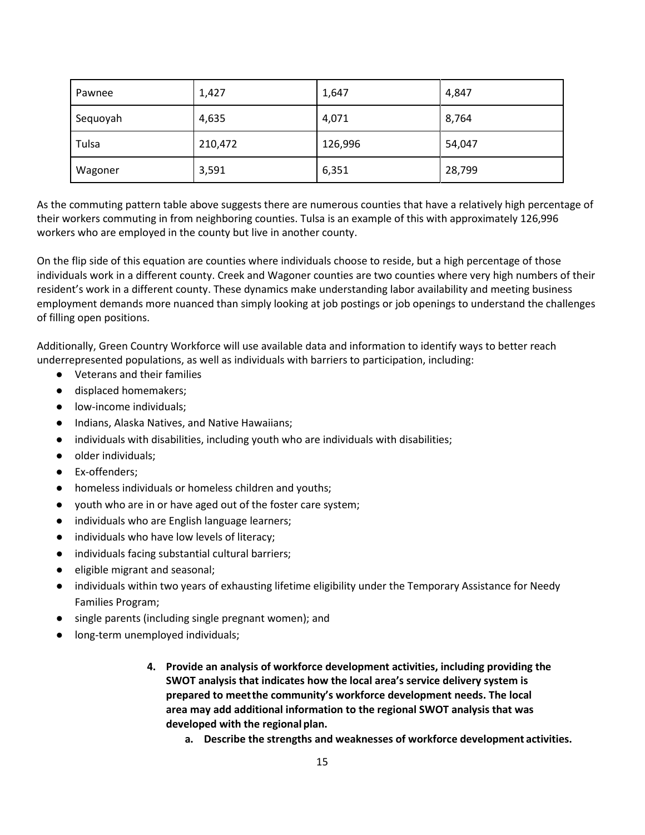| Pawnee   | 1,427   | 1,647   | 4,847  |
|----------|---------|---------|--------|
| Sequoyah | 4,635   | 4,071   | 8,764  |
| Tulsa    | 210,472 | 126,996 | 54,047 |
| Wagoner  | 3,591   | 6,351   | 28,799 |

As the commuting pattern table above suggests there are numerous counties that have a relatively high percentage of their workers commuting in from neighboring counties. Tulsa is an example of this with approximately 126,996 workers who are employed in the county but live in another county.

On the flip side of this equation are counties where individuals choose to reside, but a high percentage of those individuals work in a different county. Creek and Wagoner counties are two counties where very high numbers of their resident's work in a different county. These dynamics make understanding labor availability and meeting business employment demands more nuanced than simply looking at job postings or job openings to understand the challenges of filling open positions.

Additionally, Green Country Workforce will use available data and information to identify ways to better reach underrepresented populations, as well as individuals with barriers to participation, including:

- Veterans and their families
- displaced homemakers;
- low-income individuals;
- Indians, Alaska Natives, and Native Hawaiians;
- individuals with disabilities, including youth who are individuals with disabilities;
- older individuals;
- Ex-offenders;
- homeless individuals or homeless children and youths;
- youth who are in or have aged out of the foster care system;
- individuals who are English language learners;
- individuals who have low levels of literacy;
- individuals facing substantial cultural barriers;
- eligible migrant and seasonal;
- individuals within two years of exhausting lifetime eligibility under the Temporary Assistance for Needy Families Program;
- single parents (including single pregnant women); and
- long-term unemployed individuals;
	- **4. Provide an analysis of workforce development activities, including providing the SWOT analysis that indicates how the local area's service delivery system is prepared to meetthe community's workforce development needs. The local area may add additional information to the regional SWOT analysis that was developed with the regional plan.**
		- **a. Describe the strengths and weaknesses of workforce development activities.**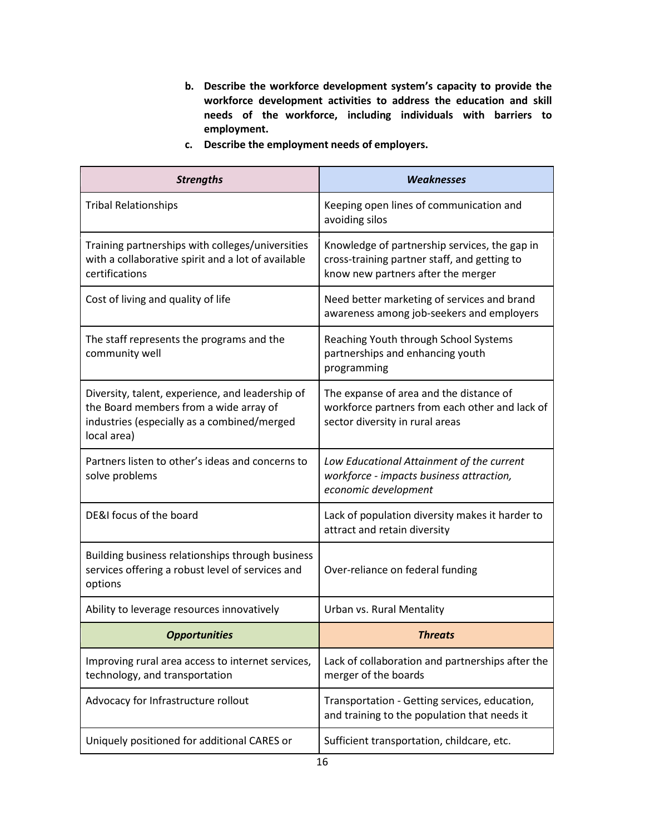- **b. Describe the workforce development system's capacity to provide the workforce development activities to address the education and skill needs of the workforce, including individuals with barriers to employment.**
- **c. Describe the employment needs of employers.**

| <b>Strengths</b>                                                                                                                                         | <b>Weaknesses</b>                                                                                                                   |
|----------------------------------------------------------------------------------------------------------------------------------------------------------|-------------------------------------------------------------------------------------------------------------------------------------|
| <b>Tribal Relationships</b>                                                                                                                              | Keeping open lines of communication and<br>avoiding silos                                                                           |
| Training partnerships with colleges/universities<br>with a collaborative spirit and a lot of available<br>certifications                                 | Knowledge of partnership services, the gap in<br>cross-training partner staff, and getting to<br>know new partners after the merger |
| Cost of living and quality of life                                                                                                                       | Need better marketing of services and brand<br>awareness among job-seekers and employers                                            |
| The staff represents the programs and the<br>community well                                                                                              | Reaching Youth through School Systems<br>partnerships and enhancing youth<br>programming                                            |
| Diversity, talent, experience, and leadership of<br>the Board members from a wide array of<br>industries (especially as a combined/merged<br>local area) | The expanse of area and the distance of<br>workforce partners from each other and lack of<br>sector diversity in rural areas        |
| Partners listen to other's ideas and concerns to<br>solve problems                                                                                       | Low Educational Attainment of the current<br>workforce - impacts business attraction,<br>economic development                       |
| DE&I focus of the board                                                                                                                                  | Lack of population diversity makes it harder to<br>attract and retain diversity                                                     |
| Building business relationships through business<br>services offering a robust level of services and<br>options                                          | Over-reliance on federal funding                                                                                                    |
| Ability to leverage resources innovatively                                                                                                               | Urban vs. Rural Mentality                                                                                                           |
| <b>Opportunities</b>                                                                                                                                     | <b>Threats</b>                                                                                                                      |
| Improving rural area access to internet services,<br>technology, and transportation                                                                      | Lack of collaboration and partnerships after the<br>merger of the boards                                                            |
| Advocacy for Infrastructure rollout                                                                                                                      | Transportation - Getting services, education,<br>and training to the population that needs it                                       |
| Uniquely positioned for additional CARES or                                                                                                              | Sufficient transportation, childcare, etc.                                                                                          |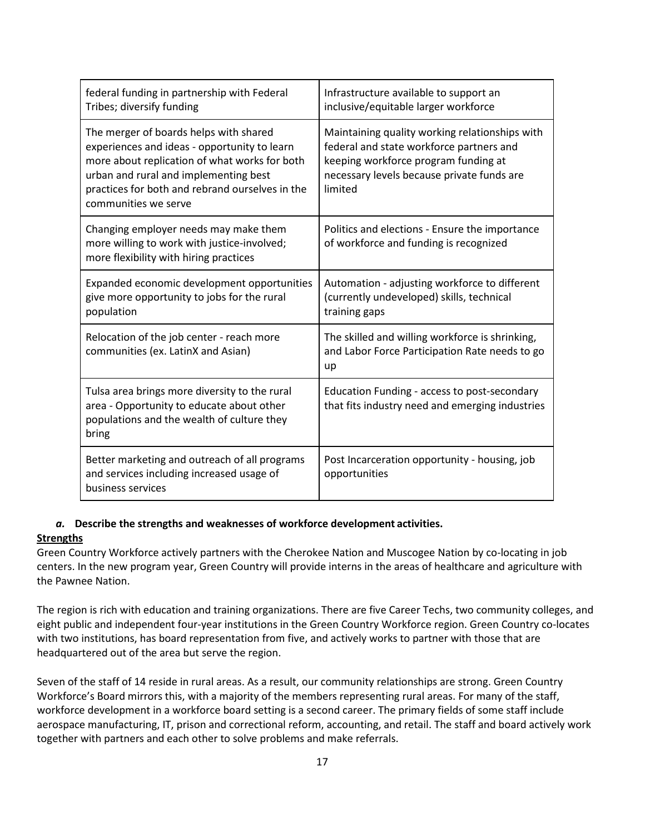| federal funding in partnership with Federal<br>Tribes; diversify funding                                                                                                                                                                                    | Infrastructure available to support an<br>inclusive/equitable larger workforce                                                                                                              |
|-------------------------------------------------------------------------------------------------------------------------------------------------------------------------------------------------------------------------------------------------------------|---------------------------------------------------------------------------------------------------------------------------------------------------------------------------------------------|
| The merger of boards helps with shared<br>experiences and ideas - opportunity to learn<br>more about replication of what works for both<br>urban and rural and implementing best<br>practices for both and rebrand ourselves in the<br>communities we serve | Maintaining quality working relationships with<br>federal and state workforce partners and<br>keeping workforce program funding at<br>necessary levels because private funds are<br>limited |
| Changing employer needs may make them<br>more willing to work with justice-involved;<br>more flexibility with hiring practices                                                                                                                              | Politics and elections - Ensure the importance<br>of workforce and funding is recognized                                                                                                    |
| Expanded economic development opportunities<br>give more opportunity to jobs for the rural<br>population                                                                                                                                                    | Automation - adjusting workforce to different<br>(currently undeveloped) skills, technical<br>training gaps                                                                                 |
| Relocation of the job center - reach more<br>communities (ex. LatinX and Asian)                                                                                                                                                                             | The skilled and willing workforce is shrinking,<br>and Labor Force Participation Rate needs to go<br>up                                                                                     |
| Tulsa area brings more diversity to the rural<br>area - Opportunity to educate about other<br>populations and the wealth of culture they<br>bring                                                                                                           | Education Funding - access to post-secondary<br>that fits industry need and emerging industries                                                                                             |
| Better marketing and outreach of all programs<br>and services including increased usage of<br>business services                                                                                                                                             | Post Incarceration opportunity - housing, job<br>opportunities                                                                                                                              |

### *a.* **Describe the strengths and weaknesses of workforce development activities.**

### **Strengths**

Green Country Workforce actively partners with the Cherokee Nation and Muscogee Nation by co-locating in job centers. In the new program year, Green Country will provide interns in the areas of healthcare and agriculture with the Pawnee Nation.

The region is rich with education and training organizations. There are five Career Techs, two community colleges, and eight public and independent four-year institutions in the Green Country Workforce region. Green Country co-locates with two institutions, has board representation from five, and actively works to partner with those that are headquartered out of the area but serve the region.

Seven of the staff of 14 reside in rural areas. As a result, our community relationships are strong. Green Country Workforce's Board mirrors this, with a majority of the members representing rural areas. For many of the staff, workforce development in a workforce board setting is a second career. The primary fields of some staff include aerospace manufacturing, IT, prison and correctional reform, accounting, and retail. The staff and board actively work together with partners and each other to solve problems and make referrals.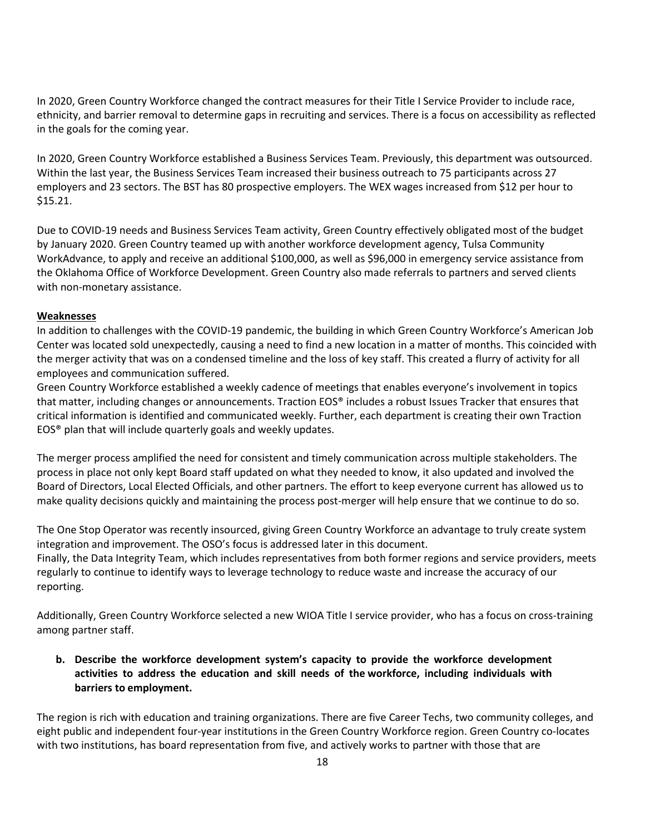In 2020, Green Country Workforce changed the contract measures for their Title I Service Provider to include race, ethnicity, and barrier removal to determine gaps in recruiting and services. There is a focus on accessibility as reflected in the goals for the coming year.

In 2020, Green Country Workforce established a Business Services Team. Previously, this department was outsourced. Within the last year, the Business Services Team increased their business outreach to 75 participants across 27 employers and 23 sectors. The BST has 80 prospective employers. The WEX wages increased from \$12 per hour to \$15.21.

Due to COVID-19 needs and Business Services Team activity, Green Country effectively obligated most of the budget by January 2020. Green Country teamed up with another workforce development agency, Tulsa Community WorkAdvance, to apply and receive an additional \$100,000, as well as \$96,000 in emergency service assistance from the Oklahoma Office of Workforce Development. Green Country also made referrals to partners and served clients with non-monetary assistance.

### **Weaknesses**

In addition to challenges with the COVID-19 pandemic, the building in which Green Country Workforce's American Job Center was located sold unexpectedly, causing a need to find a new location in a matter of months. This coincided with the merger activity that was on a condensed timeline and the loss of key staff. This created a flurry of activity for all employees and communication suffered.

Green Country Workforce established a weekly cadence of meetings that enables everyone's involvement in topics that matter, including changes or announcements. Traction EOS® includes a robust Issues Tracker that ensures that critical information is identified and communicated weekly. Further, each department is creating their own Traction EOS® plan that will include quarterly goals and weekly updates.

The merger process amplified the need for consistent and timely communication across multiple stakeholders. The process in place not only kept Board staff updated on what they needed to know, it also updated and involved the Board of Directors, Local Elected Officials, and other partners. The effort to keep everyone current has allowed us to make quality decisions quickly and maintaining the process post-merger will help ensure that we continue to do so.

The One Stop Operator was recently insourced, giving Green Country Workforce an advantage to truly create system integration and improvement. The OSO's focus is addressed later in this document. Finally, the Data Integrity Team, which includes representatives from both former regions and service providers, meets regularly to continue to identify ways to leverage technology to reduce waste and increase the accuracy of our reporting.

Additionally, Green Country Workforce selected a new WIOA Title I service provider, who has a focus on cross-training among partner staff.

**b. Describe the workforce development system's capacity to provide the workforce development activities to address the education and skill needs of the workforce, including individuals with barriers to employment.**

The region is rich with education and training organizations. There are five Career Techs, two community colleges, and eight public and independent four-year institutions in the Green Country Workforce region. Green Country co-locates with two institutions, has board representation from five, and actively works to partner with those that are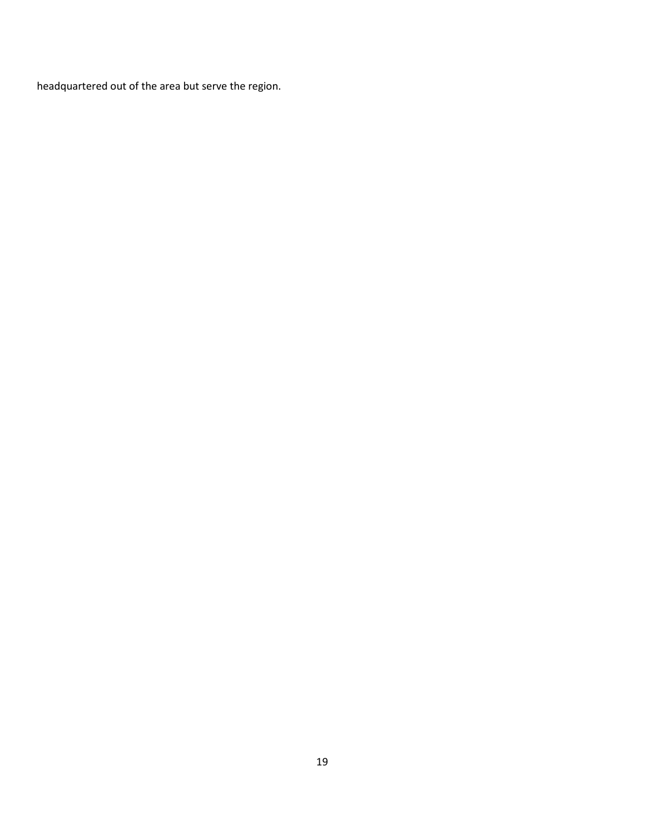headquartered out of the area but serve the region.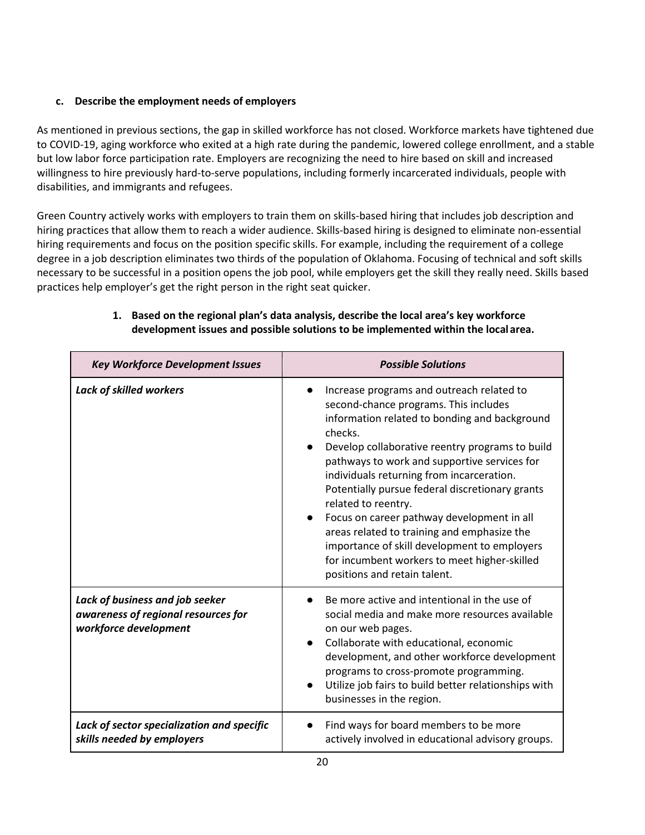# **c. Describe the employment needs of employers**

As mentioned in previous sections, the gap in skilled workforce has not closed. Workforce markets have tightened due to COVID-19, aging workforce who exited at a high rate during the pandemic, lowered college enrollment, and a stable but low labor force participation rate. Employers are recognizing the need to hire based on skill and increased willingness to hire previously hard-to-serve populations, including formerly incarcerated individuals, people with disabilities, and immigrants and refugees.

Green Country actively works with employers to train them on skills-based hiring that includes job description and hiring practices that allow them to reach a wider audience. Skills-based hiring is designed to eliminate non-essential hiring requirements and focus on the position specific skills. For example, including the requirement of a college degree in a job description eliminates two thirds of the population of Oklahoma. Focusing of technical and soft skills necessary to be successful in a position opens the job pool, while employers get the skill they really need. Skills based practices help employer's get the right person in the right seat quicker.

| <b>Key Workforce Development Issues</b>                                                         | <b>Possible Solutions</b>                                                                                                                                                                                                                                                                                                                                                                                                                                                                                                                                                                             |  |  |
|-------------------------------------------------------------------------------------------------|-------------------------------------------------------------------------------------------------------------------------------------------------------------------------------------------------------------------------------------------------------------------------------------------------------------------------------------------------------------------------------------------------------------------------------------------------------------------------------------------------------------------------------------------------------------------------------------------------------|--|--|
| <b>Lack of skilled workers</b>                                                                  | Increase programs and outreach related to<br>second-chance programs. This includes<br>information related to bonding and background<br>checks.<br>Develop collaborative reentry programs to build<br>pathways to work and supportive services for<br>individuals returning from incarceration.<br>Potentially pursue federal discretionary grants<br>related to reentry.<br>Focus on career pathway development in all<br>areas related to training and emphasize the<br>importance of skill development to employers<br>for incumbent workers to meet higher-skilled<br>positions and retain talent. |  |  |
| Lack of business and job seeker<br>awareness of regional resources for<br>workforce development | Be more active and intentional in the use of<br>social media and make more resources available<br>on our web pages.<br>Collaborate with educational, economic<br>development, and other workforce development<br>programs to cross-promote programming.<br>Utilize job fairs to build better relationships with<br>businesses in the region.                                                                                                                                                                                                                                                          |  |  |
| Lack of sector specialization and specific<br>skills needed by employers                        | Find ways for board members to be more<br>actively involved in educational advisory groups.                                                                                                                                                                                                                                                                                                                                                                                                                                                                                                           |  |  |

## **1. Based on the regional plan's data analysis, describe the local area's key workforce development issues and possible solutions to be implemented within the localarea.**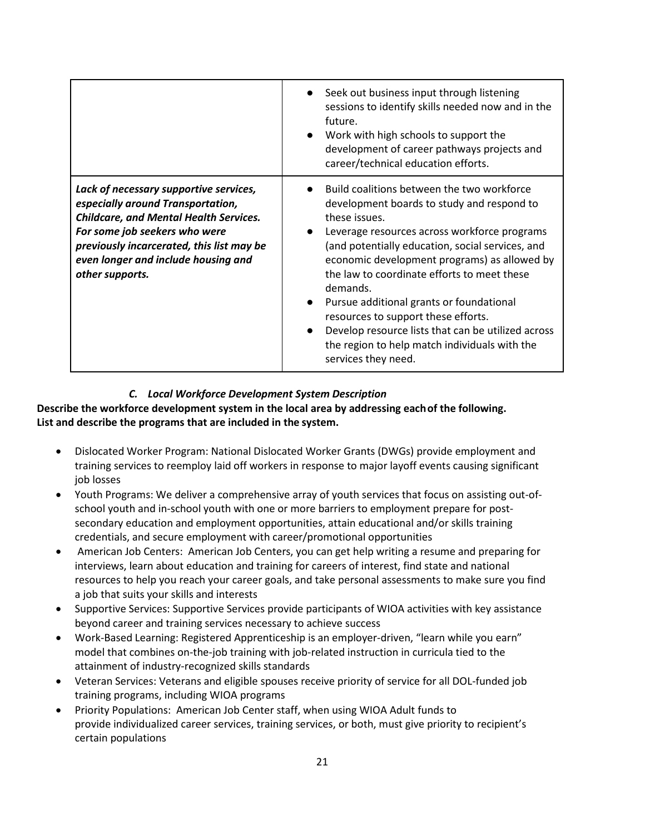|                                                                                                                                                                                                                                                                      | Seek out business input through listening<br>$\bullet$<br>sessions to identify skills needed now and in the<br>future.<br>Work with high schools to support the<br>$\bullet$<br>development of career pathways projects and<br>career/technical education efforts.                                                                                                                                                                                                                                                                                                  |
|----------------------------------------------------------------------------------------------------------------------------------------------------------------------------------------------------------------------------------------------------------------------|---------------------------------------------------------------------------------------------------------------------------------------------------------------------------------------------------------------------------------------------------------------------------------------------------------------------------------------------------------------------------------------------------------------------------------------------------------------------------------------------------------------------------------------------------------------------|
| Lack of necessary supportive services,<br>especially around Transportation,<br><b>Childcare, and Mental Health Services.</b><br>For some job seekers who were<br>previously incarcerated, this list may be<br>even longer and include housing and<br>other supports. | Build coalitions between the two workforce<br>development boards to study and respond to<br>these issues.<br>Leverage resources across workforce programs<br>(and potentially education, social services, and<br>economic development programs) as allowed by<br>the law to coordinate efforts to meet these<br>demands.<br>Pursue additional grants or foundational<br>$\bullet$<br>resources to support these efforts.<br>Develop resource lists that can be utilized across<br>$\bullet$<br>the region to help match individuals with the<br>services they need. |

## *C. Local Workforce Development System Description*

**Describe the workforce development system in the local area by addressing eachof the following. List and describe the programs that are included in the system.** 

- [Dislocated Worker Program:](https://oklahomaworks.gov/wp-content/uploads/2019/01/WIOA_DWG_Desk-Reference_Final-w.Logo_.pdf) National Dislocated Worker Grants (DWGs) provide employment and training services to reemploy [laid off](https://oklahomaworks.gov/find-a-job/rapid-response/) workers in response to major layoff events causing significant job losses
- Youth Programs: We deliver a comprehensive array of youth services that focus on assisting out-ofschool youth and in-school youth with one or more barriers to employment prepare for postsecondary education and employment opportunities, attain educational and/or skills training credentials, and secure employment with career/promotional opportunities
- [American Job Centers:](https://oklahomaworks.gov/wp-content/uploads/2019/01/WIOA-AJC-Infographic-w.Logo_.pdf) American Job Centers, you can get help writing a resume and preparing for interviews, learn about education and training for careers of interest, find state and national resources to help you reach your career goals, and take personal assessments to make sure you find a job that suits your skills and interests
- [Supportive Services:](https://oklahomaworks.gov/wp-content/uploads/2019/01/Supportive-Services-Fact-Sheet-2017-w.Logo_.pdf) Supportive Services provide participants of WIOA activities with key assistance beyond career and training services necessary to achieve success
- [Work-Based Learning:](https://oklahomaworks.gov/wp-content/uploads/2019/01/WBL-Factsheet-2017-with-OKWorks-Logo.pdf) Registered [Apprenticeship](https://oklahomaworks.gov/work-based-learning/apprenticeship-programs-in-oklahoma/) is an employer-driven, "learn while you earn" model that combines on-the-job training with job-related instruction in curricula tied to the attainment of industry-recognized skills standards
- [Veteran Services:](https://oklahomaworks.gov/wp-content/uploads/2019/01/WIOA_Veterans_FactSheet_508-w.Logo_.pdf) Veterans and eligible spouses receive priority of service for all DOL-funded job training programs, including WIOA programs
- [Priority Populations:](https://oklahomaworks.gov/wp-content/uploads/2019/01/WIOA-Desk-Reference-Priority-Populations-w.Logo_.pdf) American Job Center staff, when using WIOA Adult funds to provide individualized career services, training services, or both, must give priority to recipient's certain populations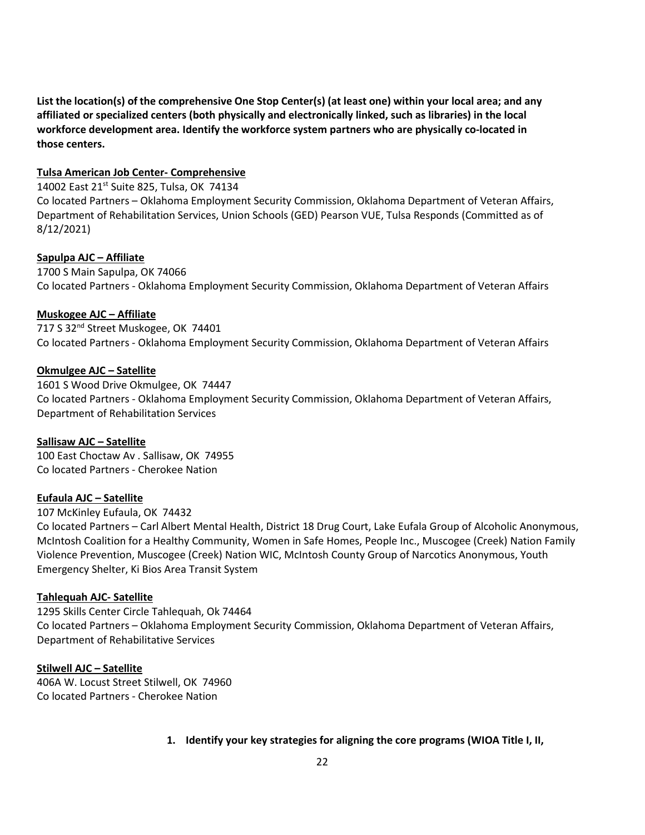**List the location(s) of the comprehensive One Stop Center(s) (at least one) within your local area; and any affiliated or specialized centers (both physically and electronically linked, such as libraries) in the local workforce development area. Identify the workforce system partners who are physically co-located in those centers.**

#### **Tulsa American Job Center- Comprehensive**

14002 East 21<sup>st</sup> Suite 825, Tulsa, OK 74134

Co located Partners – Oklahoma Employment Security Commission, Oklahoma Department of Veteran Affairs, Department of Rehabilitation Services, Union Schools (GED) Pearson VUE, Tulsa Responds (Committed as of 8/12/2021)

### **Sapulpa AJC – Affiliate**

1700 S Main Sapulpa, OK 74066 Co located Partners - Oklahoma Employment Security Commission, Oklahoma Department of Veteran Affairs

### **Muskogee AJC – Affiliate**

717 S 32<sup>nd</sup> Street Muskogee, OK 74401 Co located Partners - Oklahoma Employment Security Commission, Oklahoma Department of Veteran Affairs

### **Okmulgee AJC – Satellite**

1601 S Wood Drive Okmulgee, OK 74447 Co located Partners - Oklahoma Employment Security Commission, Oklahoma Department of Veteran Affairs, Department of Rehabilitation Services

#### **Sallisaw AJC – Satellite**

100 East Choctaw Av . Sallisaw, OK 74955 Co located Partners - Cherokee Nation

### **Eufaula AJC – Satellite**

107 McKinley Eufaula, OK 74432

Co located Partners – Carl Albert Mental Health, District 18 Drug Court, Lake Eufala Group of Alcoholic Anonymous, McIntosh Coalition for a Healthy Community, Women in Safe Homes, People Inc., Muscogee (Creek) Nation Family Violence Prevention, Muscogee (Creek) Nation WIC, McIntosh County Group of Narcotics Anonymous, Youth Emergency Shelter, Ki Bios Area Transit System

### **Tahlequah AJC- Satellite**

1295 Skills Center Circle Tahlequah, Ok 74464 Co located Partners – Oklahoma Employment Security Commission, Oklahoma Department of Veteran Affairs, Department of Rehabilitative Services

#### **Stilwell AJC – Satellite**

406A W. Locust Street Stilwell, OK 74960 Co located Partners - Cherokee Nation

### **1. Identify your key strategies for aligning the core programs (WIOA Title I, II,**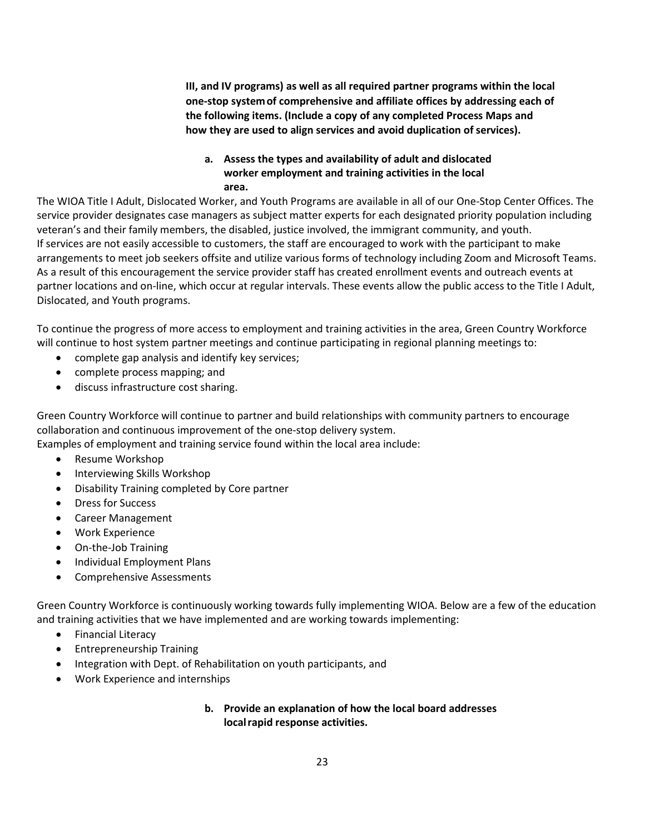**III, and IV programs) as well as all required partner programs within the local one-stop systemof comprehensive and affiliate offices by addressing each of the following items. (Include a copy of any completed Process Maps and how they are used to align services and avoid duplication of services).**

### **a. Assess the types and availability of adult and dislocated worker employment and training activities in the local area.**

The WIOA Title I Adult, Dislocated Worker, and Youth Programs are available in all of our One-Stop Center Offices. The service provider designates case managers as subject matter experts for each designated priority population including veteran's and their family members, the disabled, justice involved, the immigrant community, and youth. If services are not easily accessible to customers, the staff are encouraged to work with the participant to make arrangements to meet job seekers offsite and utilize various forms of technology including Zoom and Microsoft Teams. As a result of this encouragement the service provider staff has created enrollment events and outreach events at partner locations and on-line, which occur at regular intervals. These events allow the public access to the Title I Adult, Dislocated, and Youth programs.

To continue the progress of more access to employment and training activities in the area, Green Country Workforce will continue to host system partner meetings and continue participating in regional planning meetings to:

- complete gap analysis and identify key services;
- complete process mapping; and
- discuss infrastructure cost sharing.

Green Country Workforce will continue to partner and build relationships with community partners to encourage collaboration and continuous improvement of the one-stop delivery system.

Examples of employment and training service found within the local area include:

- Resume Workshop
- Interviewing Skills Workshop
- Disability Training completed by Core partner
- Dress for Success
- Career Management
- Work Experience
- On-the-Job Training
- Individual Employment Plans
- Comprehensive Assessments

Green Country Workforce is continuously working towards fully implementing WIOA. Below are a few of the education and training activities that we have implemented and are working towards implementing:

- Financial Literacy
- Entrepreneurship Training
- Integration with Dept. of Rehabilitation on youth participants, and
- Work Experience and internships

## **b. Provide an explanation of how the local board addresses localrapid response activities.**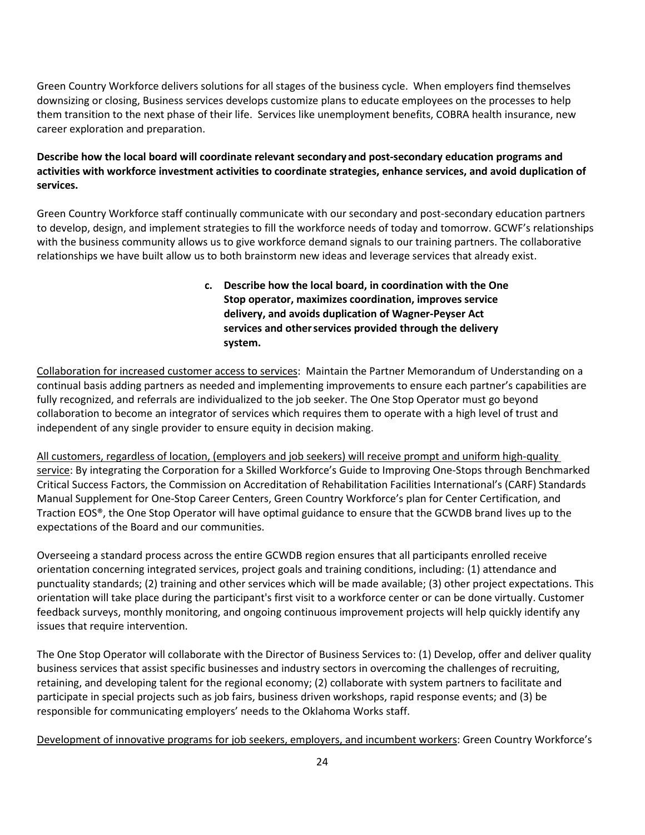Green Country Workforce delivers solutions for all stages of the business cycle. When employers find themselves downsizing or closing, Business services develops customize plans to educate employees on the processes to help them transition to the next phase of their life. Services like unemployment benefits, COBRA health insurance, new career exploration and preparation.

## **Describe how the local board will coordinate relevant secondary and post-secondary education programs and activities with workforce investment activities to coordinate strategies, enhance services, and avoid duplication of services.**

Green Country Workforce staff continually communicate with our secondary and post-secondary education partners to develop, design, and implement strategies to fill the workforce needs of today and tomorrow. GCWF's relationships with the business community allows us to give workforce demand signals to our training partners. The collaborative relationships we have built allow us to both brainstorm new ideas and leverage services that already exist.

> **c. Describe how the local board, in coordination with the One Stop operator, maximizes coordination, improves service delivery, and avoids duplication of Wagner-Peyser Act services and otherservices provided through the delivery system.**

Collaboration for increased customer access to services: Maintain the Partner Memorandum of Understanding on a continual basis adding partners as needed and implementing improvements to ensure each partner's capabilities are fully recognized, and referrals are individualized to the job seeker. The One Stop Operator must go beyond collaboration to become an integrator of services which requires them to operate with a high level of trust and independent of any single provider to ensure equity in decision making.

All customers, regardless of location, (employers and job seekers) will receive prompt and uniform high-quality service: By integrating the Corporation for a Skilled Workforce's Guide to Improving One-Stops through Benchmarked Critical Success Factors, the Commission on Accreditation of Rehabilitation Facilities International's (CARF) Standards Manual Supplement for One-Stop Career Centers, Green Country Workforce's plan for Center Certification, and Traction EOS®, the One Stop Operator will have optimal guidance to ensure that the GCWDB brand lives up to the expectations of the Board and our communities.

Overseeing a standard process across the entire GCWDB region ensures that all participants enrolled receive orientation concerning integrated services, project goals and training conditions, including: (1) attendance and punctuality standards; (2) training and other services which will be made available; (3) other project expectations. This orientation will take place during the participant's first visit to a workforce center or can be done virtually. Customer feedback surveys, monthly monitoring, and ongoing continuous improvement projects will help quickly identify any issues that require intervention.

The One Stop Operator will collaborate with the Director of Business Services to: (1) Develop, offer and deliver quality business services that assist specific businesses and industry sectors in overcoming the challenges of recruiting, retaining, and developing talent for the regional economy; (2) collaborate with system partners to facilitate and participate in special projects such as job fairs, business driven workshops, rapid response events; and (3) be responsible for communicating employers' needs to the Oklahoma Works staff.

Development of innovative programs for job seekers, employers, and incumbent workers: Green Country Workforce's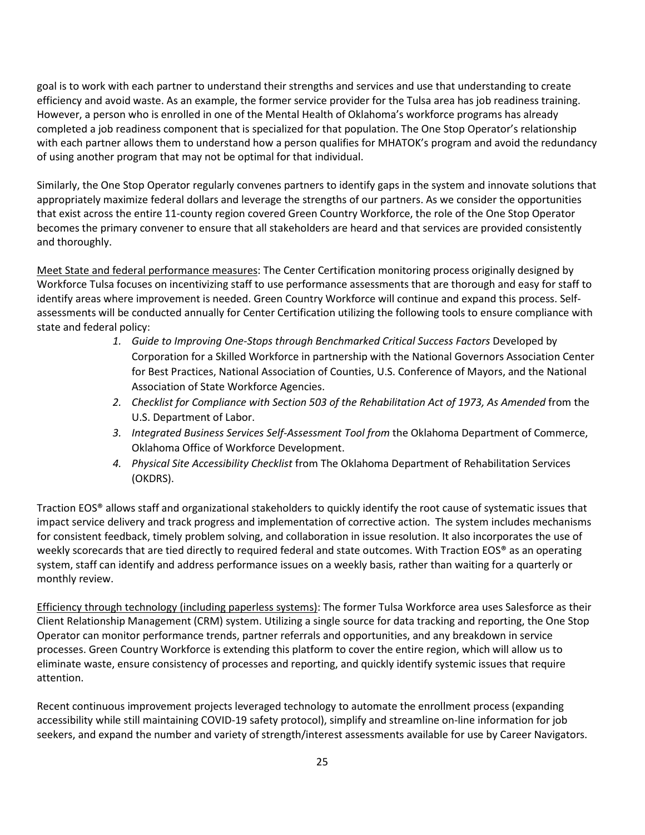goal is to work with each partner to understand their strengths and services and use that understanding to create efficiency and avoid waste. As an example, the former service provider for the Tulsa area has job readiness training. However, a person who is enrolled in one of the Mental Health of Oklahoma's workforce programs has already completed a job readiness component that is specialized for that population. The One Stop Operator's relationship with each partner allows them to understand how a person qualifies for MHATOK's program and avoid the redundancy of using another program that may not be optimal for that individual.

Similarly, the One Stop Operator regularly convenes partners to identify gaps in the system and innovate solutions that appropriately maximize federal dollars and leverage the strengths of our partners. As we consider the opportunities that exist across the entire 11-county region covered Green Country Workforce, the role of the One Stop Operator becomes the primary convener to ensure that all stakeholders are heard and that services are provided consistently and thoroughly.

Meet State and federal performance measures: The Center Certification monitoring process originally designed by Workforce Tulsa focuses on incentivizing staff to use performance assessments that are thorough and easy for staff to identify areas where improvement is needed. Green Country Workforce will continue and expand this process. Selfassessments will be conducted annually for Center Certification utilizing the following tools to ensure compliance with state and federal policy:

- 1. Guide to Improving One-Stops through Benchmarked Critical Success Factors Developed by Corporation for a Skilled Workforce in partnership with the National Governors Association Center for Best Practices, National Association of Counties, U.S. Conference of Mayors, and the National Association of State Workforce Agencies.
- *2. Checklist for Compliance with Section 503 of the Rehabilitation Act of 1973, As Amended* from the U.S. Department of Labor.
- *3. Integrated Business Services Self-Assessment Tool from* the Oklahoma Department of Commerce, Oklahoma Office of Workforce Development.
- *4. Physical Site Accessibility Checklist* from The Oklahoma Department of Rehabilitation Services (OKDRS).

Traction EOS® allows staff and organizational stakeholders to quickly identify the root cause of systematic issues that impact service delivery and track progress and implementation of corrective action. The system includes mechanisms for consistent feedback, timely problem solving, and collaboration in issue resolution. It also incorporates the use of weekly scorecards that are tied directly to required federal and state outcomes. With Traction EOS® as an operating system, staff can identify and address performance issues on a weekly basis, rather than waiting for a quarterly or monthly review.

Efficiency through technology (including paperless systems): The former Tulsa Workforce area uses Salesforce as their Client Relationship Management (CRM) system. Utilizing a single source for data tracking and reporting, the One Stop Operator can monitor performance trends, partner referrals and opportunities, and any breakdown in service processes. Green Country Workforce is extending this platform to cover the entire region, which will allow us to eliminate waste, ensure consistency of processes and reporting, and quickly identify systemic issues that require attention.

Recent continuous improvement projects leveraged technology to automate the enrollment process (expanding accessibility while still maintaining COVID-19 safety protocol), simplify and streamline on-line information for job seekers, and expand the number and variety of strength/interest assessments available for use by Career Navigators.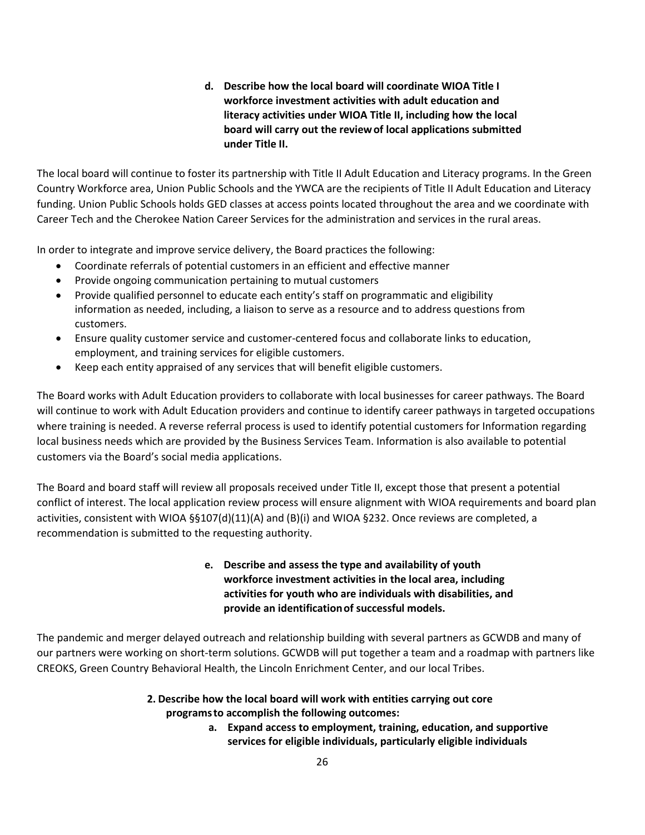**d. Describe how the local board will coordinate WIOA Title I workforce investment activities with adult education and literacy activities under WIOA Title II, including how the local board will carry out the reviewof local applications submitted under Title II.**

The local board will continue to foster its partnership with Title II Adult Education and Literacy programs. In the Green Country Workforce area, Union Public Schools and the YWCA are the recipients of Title II Adult Education and Literacy funding. Union Public Schools holds GED classes at access points located throughout the area and we coordinate with Career Tech and the Cherokee Nation Career Services for the administration and services in the rural areas.

In order to integrate and improve service delivery, the Board practices the following:

- Coordinate referrals of potential customers in an efficient and effective manner
- Provide ongoing communication pertaining to mutual customers
- Provide qualified personnel to educate each entity's staff on programmatic and eligibility information as needed, including, a liaison to serve as a resource and to address questions from customers.
- Ensure quality customer service and customer-centered focus and collaborate links to education, employment, and training services for eligible customers.
- Keep each entity appraised of any services that will benefit eligible customers.

The Board works with Adult Education providers to collaborate with local businesses for career pathways. The Board will continue to work with Adult Education providers and continue to identify career pathways in targeted occupations where training is needed. A reverse referral process is used to identify potential customers for Information regarding local business needs which are provided by the Business Services Team. Information is also available to potential customers via the Board's social media applications.

The Board and board staff will review all proposals received under Title II, except those that present a potential conflict of interest. The local application review process will ensure alignment with WIOA requirements and board plan activities, consistent with WIOA §§107(d)(11)(A) and (B)(i) and WIOA §232. Once reviews are completed, a recommendation is submitted to the requesting authority.

# **e. Describe and assess the type and availability of youth workforce investment activities in the local area, including activities for youth who are individuals with disabilities, and provide an identificationof successful models.**

The pandemic and merger delayed outreach and relationship building with several partners as GCWDB and many of our partners were working on short-term solutions. GCWDB will put together a team and a roadmap with partners like CREOKS, Green Country Behavioral Health, the Lincoln Enrichment Center, and our local Tribes.

## **2. Describe how the local board will work with entities carrying out core programsto accomplish the following outcomes:**

**a. Expand access to employment, training, education, and supportive services for eligible individuals, particularly eligible individuals**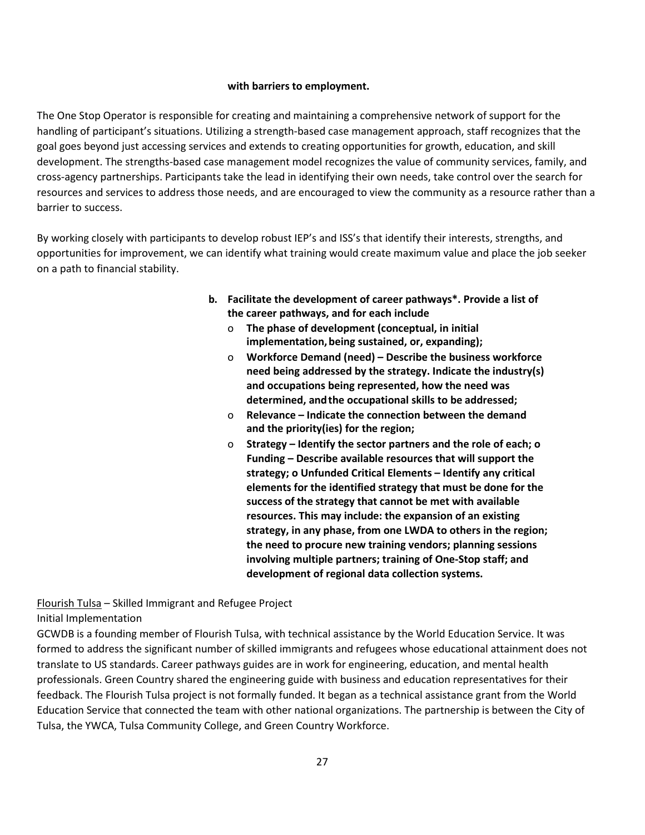### **with barriers to employment.**

The One Stop Operator is responsible for creating and maintaining a comprehensive network of support for the handling of participant's situations. Utilizing a strength-based case management approach, staff recognizes that the goal goes beyond just accessing services and extends to creating opportunities for growth, education, and skill development. The strengths-based case management model recognizes the value of community services, family, and cross-agency partnerships. Participants take the lead in identifying their own needs, take control over the search for resources and services to address those needs, and are encouraged to view the community as a resource rather than a barrier to success.

By working closely with participants to develop robust IEP's and ISS's that identify their interests, strengths, and opportunities for improvement, we can identify what training would create maximum value and place the job seeker on a path to financial stability.

- **b. Facilitate the development of career pathways\*. Provide a list of the career pathways, and for each include**
	- o **The phase of development (conceptual, in initial implementation,being sustained, or, expanding);**
	- o **Workforce Demand (need) Describe the business workforce need being addressed by the strategy. Indicate the industry(s) and occupations being represented, how the need was determined, andthe occupational skills to be addressed;**
	- o **Relevance Indicate the connection between the demand and the priority(ies) for the region;**
	- o **Strategy Identify the sector partners and the role of each; o Funding – Describe available resources that will support the strategy; o Unfunded Critical Elements – Identify any critical elements for the identified strategy that must be done for the success of the strategy that cannot be met with available resources. This may include: the expansion of an existing strategy, in any phase, from one LWDA to others in the region; the need to procure new training vendors; planning sessions involving multiple partners; training of One-Stop staff; and development of regional data collection systems.**

Flourish Tulsa – Skilled Immigrant and Refugee Project Initial Implementation

GCWDB is a founding member of Flourish Tulsa, with technical assistance by the World Education Service. It was formed to address the significant number of skilled immigrants and refugees whose educational attainment does not translate to US standards. Career pathways guides are in work for engineering, education, and mental health professionals. Green Country shared the engineering guide with business and education representatives for their feedback. The Flourish Tulsa project is not formally funded. It began as a technical assistance grant from the World Education Service that connected the team with other national organizations. The partnership is between the City of Tulsa, the YWCA, Tulsa Community College, and Green Country Workforce.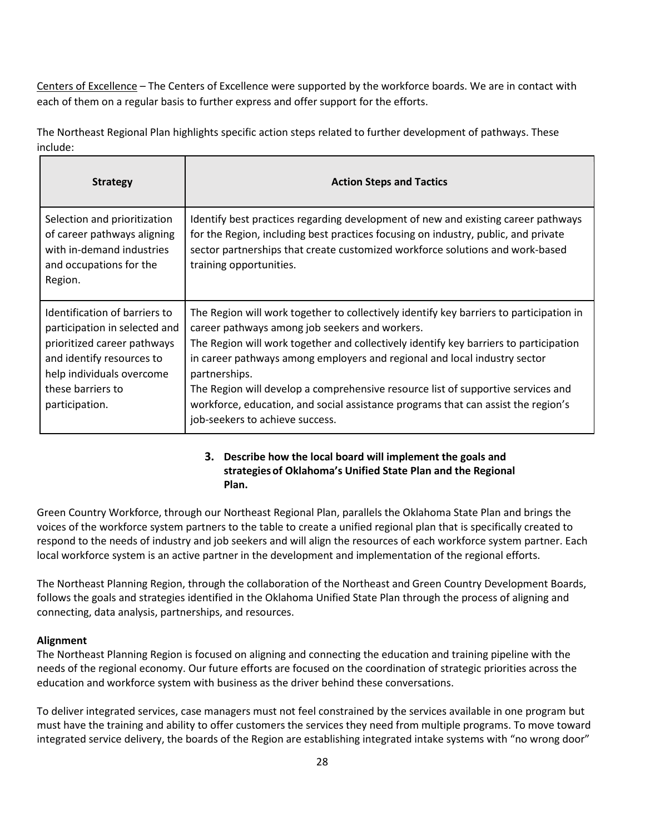Centers of Excellence – The Centers of Excellence were supported by the workforce boards. We are in contact with each of them on a regular basis to further express and offer support for the efforts.

The Northeast Regional Plan highlights specific action steps related to further development of pathways. These include:

| <b>Strategy</b>                                                                                                                                                                                | <b>Action Steps and Tactics</b>                                                                                                                                                                                                                                                                                                                                                                                                                                                                                                              |
|------------------------------------------------------------------------------------------------------------------------------------------------------------------------------------------------|----------------------------------------------------------------------------------------------------------------------------------------------------------------------------------------------------------------------------------------------------------------------------------------------------------------------------------------------------------------------------------------------------------------------------------------------------------------------------------------------------------------------------------------------|
| Selection and prioritization<br>of career pathways aligning<br>with in-demand industries<br>and occupations for the<br>Region.                                                                 | Identify best practices regarding development of new and existing career pathways<br>for the Region, including best practices focusing on industry, public, and private<br>sector partnerships that create customized workforce solutions and work-based<br>training opportunities.                                                                                                                                                                                                                                                          |
| Identification of barriers to<br>participation in selected and<br>prioritized career pathways<br>and identify resources to<br>help individuals overcome<br>these barriers to<br>participation. | The Region will work together to collectively identify key barriers to participation in<br>career pathways among job seekers and workers.<br>The Region will work together and collectively identify key barriers to participation<br>in career pathways among employers and regional and local industry sector<br>partnerships.<br>The Region will develop a comprehensive resource list of supportive services and<br>workforce, education, and social assistance programs that can assist the region's<br>job-seekers to achieve success. |

## **3. Describe how the local board will implement the goals and strategiesof Oklahoma's Unified State Plan and the Regional Plan.**

Green Country Workforce, through our Northeast Regional Plan, parallels the Oklahoma State Plan and brings the voices of the workforce system partners to the table to create a unified regional plan that is specifically created to respond to the needs of industry and job seekers and will align the resources of each workforce system partner. Each local workforce system is an active partner in the development and implementation of the regional efforts.

The Northeast Planning Region, through the collaboration of the Northeast and Green Country Development Boards, follows the goals and strategies identified in the Oklahoma Unified State Plan through the process of aligning and connecting, data analysis, partnerships, and resources.

### **Alignment**

The Northeast Planning Region is focused on aligning and connecting the education and training pipeline with the needs of the regional economy. Our future efforts are focused on the coordination of strategic priorities across the education and workforce system with business as the driver behind these conversations.

To deliver integrated services, case managers must not feel constrained by the services available in one program but must have the training and ability to offer customers the services they need from multiple programs. To move toward integrated service delivery, the boards of the Region are establishing integrated intake systems with "no wrong door"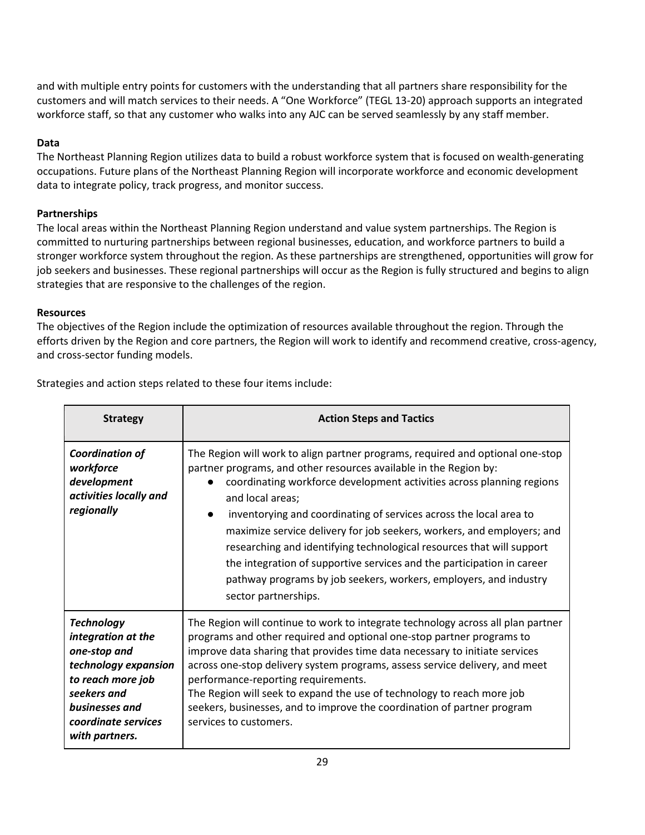and with multiple entry points for customers with the understanding that all partners share responsibility for the customers and will match services to their needs. A "One Workforce" (TEGL 13-20) approach supports an integrated workforce staff, so that any customer who walks into any AJC can be served seamlessly by any staff member.

### **Data**

The Northeast Planning Region utilizes data to build a robust workforce system that is focused on wealth-generating occupations. Future plans of the Northeast Planning Region will incorporate workforce and economic development data to integrate policy, track progress, and monitor success.

## **Partnerships**

The local areas within the Northeast Planning Region understand and value system partnerships. The Region is committed to nurturing partnerships between regional businesses, education, and workforce partners to build a stronger workforce system throughout the region. As these partnerships are strengthened, opportunities will grow for job seekers and businesses. These regional partnerships will occur as the Region is fully structured and begins to align strategies that are responsive to the challenges of the region.

## **Resources**

The objectives of the Region include the optimization of resources available throughout the region. Through the efforts driven by the Region and core partners, the Region will work to identify and recommend creative, cross-agency, and cross-sector funding models.

| Strategies and action steps related to these four items include: |  |  |  |
|------------------------------------------------------------------|--|--|--|
|                                                                  |  |  |  |

| <b>Strategy</b>                                                                                                                                                                | <b>Action Steps and Tactics</b>                                                                                                                                                                                                                                                                                                                                                                                                                                                                                                                                                                                                                  |  |  |
|--------------------------------------------------------------------------------------------------------------------------------------------------------------------------------|--------------------------------------------------------------------------------------------------------------------------------------------------------------------------------------------------------------------------------------------------------------------------------------------------------------------------------------------------------------------------------------------------------------------------------------------------------------------------------------------------------------------------------------------------------------------------------------------------------------------------------------------------|--|--|
| <b>Coordination of</b><br>workforce<br>development<br>activities locally and<br>regionally                                                                                     | The Region will work to align partner programs, required and optional one-stop<br>partner programs, and other resources available in the Region by:<br>coordinating workforce development activities across planning regions<br>and local areas;<br>inventorying and coordinating of services across the local area to<br>maximize service delivery for job seekers, workers, and employers; and<br>researching and identifying technological resources that will support<br>the integration of supportive services and the participation in career<br>pathway programs by job seekers, workers, employers, and industry<br>sector partnerships. |  |  |
| <b>Technology</b><br>integration at the<br>one-stop and<br>technology expansion<br>to reach more job<br>seekers and<br>businesses and<br>coordinate services<br>with partners. | The Region will continue to work to integrate technology across all plan partner<br>programs and other required and optional one-stop partner programs to<br>improve data sharing that provides time data necessary to initiate services<br>across one-stop delivery system programs, assess service delivery, and meet<br>performance-reporting requirements.<br>The Region will seek to expand the use of technology to reach more job<br>seekers, businesses, and to improve the coordination of partner program<br>services to customers.                                                                                                    |  |  |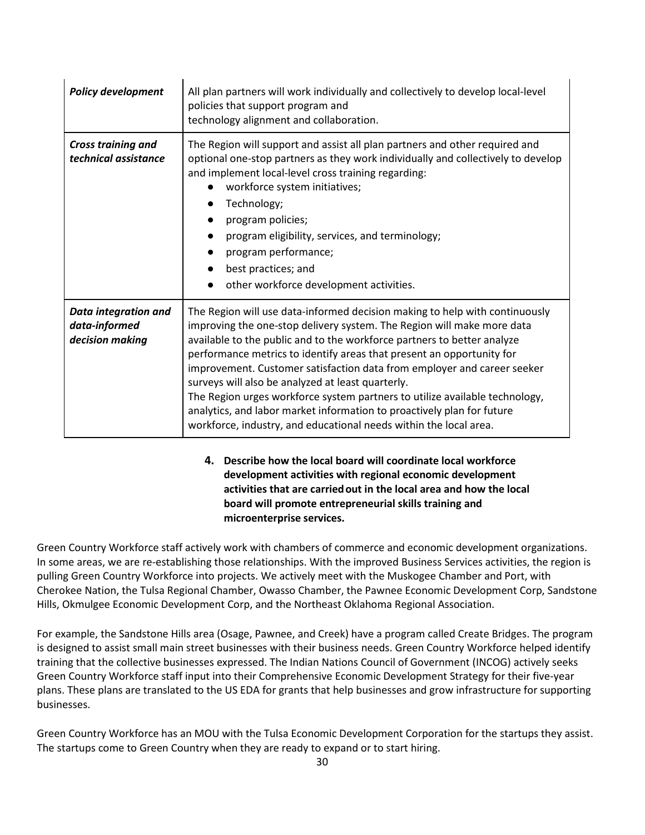| <b>Policy development</b>                                       | All plan partners will work individually and collectively to develop local-level<br>policies that support program and<br>technology alignment and collaboration.                                                                                                                                                                                                                                                                                                                                                                                                                                                                                                        |  |
|-----------------------------------------------------------------|-------------------------------------------------------------------------------------------------------------------------------------------------------------------------------------------------------------------------------------------------------------------------------------------------------------------------------------------------------------------------------------------------------------------------------------------------------------------------------------------------------------------------------------------------------------------------------------------------------------------------------------------------------------------------|--|
| <b>Cross training and</b><br>technical assistance               | The Region will support and assist all plan partners and other required and<br>optional one-stop partners as they work individually and collectively to develop<br>and implement local-level cross training regarding:<br>workforce system initiatives;<br>Technology;<br>program policies;<br>program eligibility, services, and terminology;<br>program performance;<br>best practices; and<br>other workforce development activities.                                                                                                                                                                                                                                |  |
| <b>Data integration and</b><br>data-informed<br>decision making | The Region will use data-informed decision making to help with continuously<br>improving the one-stop delivery system. The Region will make more data<br>available to the public and to the workforce partners to better analyze<br>performance metrics to identify areas that present an opportunity for<br>improvement. Customer satisfaction data from employer and career seeker<br>surveys will also be analyzed at least quarterly.<br>The Region urges workforce system partners to utilize available technology,<br>analytics, and labor market information to proactively plan for future<br>workforce, industry, and educational needs within the local area. |  |

## **4. Describe how the local board will coordinate local workforce development activities with regional economic development activities that are carriedout in the local area and how the local board will promote entrepreneurial skills training and microenterprise services.**

Green Country Workforce staff actively work with chambers of commerce and economic development organizations. In some areas, we are re-establishing those relationships. With the improved Business Services activities, the region is pulling Green Country Workforce into projects. We actively meet with the Muskogee Chamber and Port, with Cherokee Nation, the Tulsa Regional Chamber, Owasso Chamber, the Pawnee Economic Development Corp, Sandstone Hills, Okmulgee Economic Development Corp, and the Northeast Oklahoma Regional Association.

For example, the Sandstone Hills area (Osage, Pawnee, and Creek) have a program called Create Bridges. The program is designed to assist small main street businesses with their business needs. Green Country Workforce helped identify training that the collective businesses expressed. The Indian Nations Council of Government (INCOG) actively seeks Green Country Workforce staff input into their Comprehensive Economic Development Strategy for their five-year plans. These plans are translated to the US EDA for grants that help businesses and grow infrastructure for supporting businesses.

Green Country Workforce has an MOU with the Tulsa Economic Development Corporation for the startups they assist. The startups come to Green Country when they are ready to expand or to start hiring.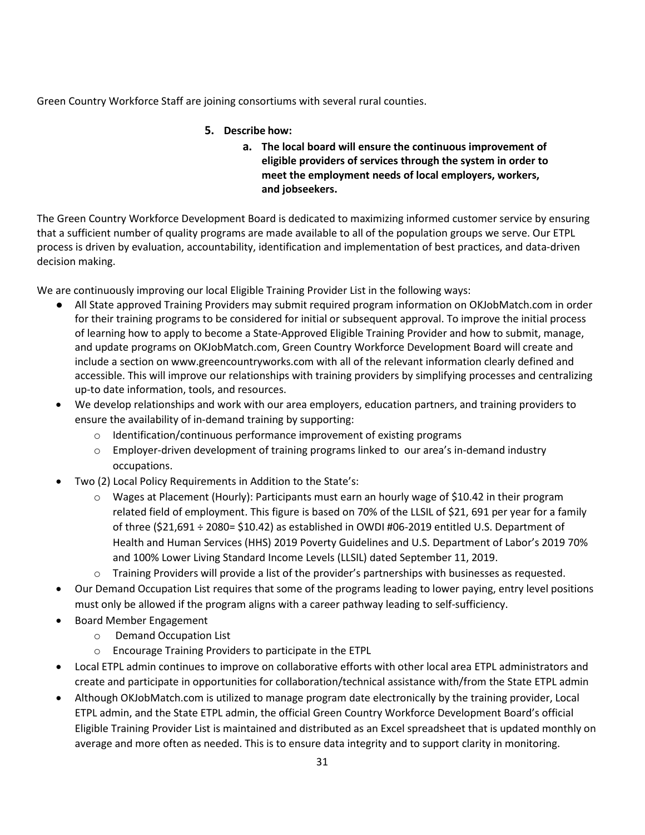Green Country Workforce Staff are joining consortiums with several rural counties.

## **5. Describe how:**

**a. The local board will ensure the continuous improvement of eligible providers of services through the system in order to meet the employment needs of local employers, workers, and jobseekers.** 

The Green Country Workforce Development Board is dedicated to maximizing informed customer service by ensuring that a sufficient number of quality programs are made available to all of the population groups we serve. Our ETPL process is driven by evaluation, accountability, identification and implementation of best practices, and data-driven decision making.

We are continuously improving our local Eligible Training Provider List in the following ways:

- All State approved Training Providers may submit required program information on OKJobMatch.com in order for their training programs to be considered for initial or subsequent approval. To improve the initial process of learning how to apply to become a State-Approved Eligible Training Provider and how to submit, manage, and update programs on OKJobMatch.com, Green Country Workforce Development Board will create and include a section o[n www.greencountryworks.com](http://www.greencountryworks.com/) with all of the relevant information clearly defined and accessible. This will improve our relationships with training providers by simplifying processes and centralizing up-to date information, tools, and resources.
- We develop relationships and work with our area employers, education partners, and training providers to ensure the availability of in-demand training by supporting:
	- o Identification/continuous performance improvement of existing programs
	- $\circ$  Employer-driven development of training programs linked to our area's in-demand industry occupations.
- Two (2) Local Policy Requirements in Addition to the State's:
	- o Wages at Placement (Hourly): Participants must earn an hourly wage of \$10.42 in their program related field of employment. This figure is based on 70% of the LLSIL of \$21, 691 per year for a family of three (\$21,691 ÷ 2080= \$10.42) as established in OWDI #06-2019 entitled U.S. Department of Health and Human Services (HHS) 2019 Poverty Guidelines and U.S. Department of Labor's 2019 70% and 100% Lower Living Standard Income Levels (LLSIL) dated September 11, 2019.
	- o Training Providers will provide a list of the provider's partnerships with businesses as requested.
- Our Demand Occupation List requires that some of the programs leading to lower paying, entry level positions must only be allowed if the program aligns with a career pathway leading to self-sufficiency.
- Board Member Engagement
	- o Demand Occupation List
	- o Encourage Training Providers to participate in the ETPL
- Local ETPL admin continues to improve on collaborative efforts with other local area ETPL administrators and create and participate in opportunities for collaboration/technical assistance with/from the State ETPL admin
- Although OKJobMatch.com is utilized to manage program date electronically by the training provider, Local ETPL admin, and the State ETPL admin, the official Green Country Workforce Development Board's official Eligible Training Provider List is maintained and distributed as an Excel spreadsheet that is updated monthly on average and more often as needed. This is to ensure data integrity and to support clarity in monitoring.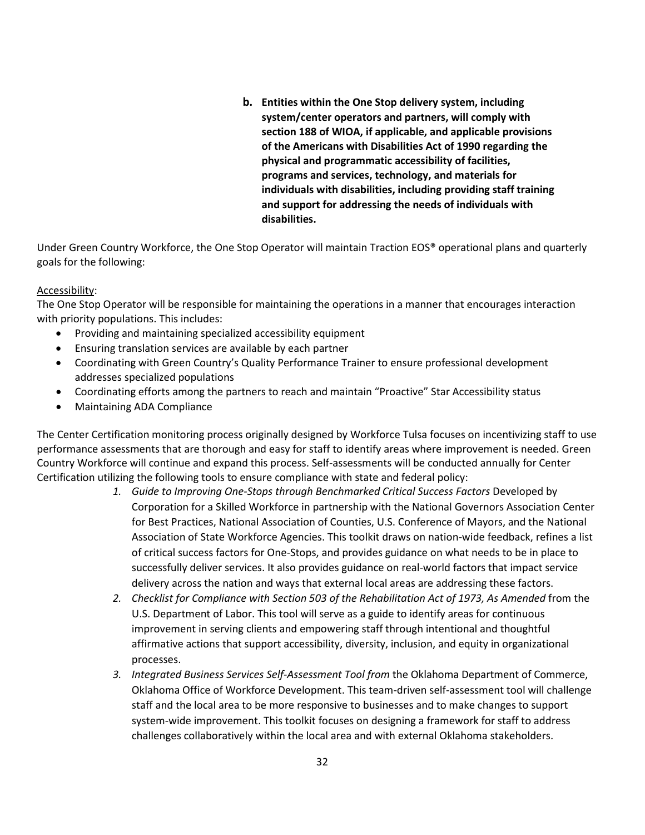**b. Entities within the One Stop delivery system, including system/center operators and partners, will comply with section 188 of WIOA, if applicable, and applicable provisions of the Americans with Disabilities Act of 1990 regarding the physical and programmatic accessibility of facilities, programs and services, technology, and materials for individuals with disabilities, including providing staff training and support for addressing the needs of individuals with disabilities.**

Under Green Country Workforce, the One Stop Operator will maintain Traction EOS® operational plans and quarterly goals for the following:

### Accessibility:

The One Stop Operator will be responsible for maintaining the operations in a manner that encourages interaction with priority populations. This includes:

- Providing and maintaining specialized accessibility equipment
- Ensuring translation services are available by each partner
- Coordinating with Green Country's Quality Performance Trainer to ensure professional development addresses specialized populations
- Coordinating efforts among the partners to reach and maintain "Proactive" Star Accessibility status
- Maintaining ADA Compliance

The Center Certification monitoring process originally designed by Workforce Tulsa focuses on incentivizing staff to use performance assessments that are thorough and easy for staff to identify areas where improvement is needed. Green Country Workforce will continue and expand this process. Self-assessments will be conducted annually for Center Certification utilizing the following tools to ensure compliance with state and federal policy:

- 1. Guide to Improving One-Stops through Benchmarked Critical Success Factors Developed by Corporation for a Skilled Workforce in partnership with the National Governors Association Center for Best Practices, National Association of Counties, U.S. Conference of Mayors, and the National Association of State Workforce Agencies. This toolkit draws on nation-wide feedback, refines a list of critical success factors for One-Stops, and provides guidance on what needs to be in place to successfully deliver services. It also provides guidance on real-world factors that impact service delivery across the nation and ways that external local areas are addressing these factors.
- *2. Checklist for Compliance with Section 503 of the Rehabilitation Act of 1973, As Amended* from the U.S. Department of Labor. This tool will serve as a guide to identify areas for continuous improvement in serving clients and empowering staff through intentional and thoughtful affirmative actions that support accessibility, diversity, inclusion, and equity in organizational processes.
- *3. Integrated Business Services Self-Assessment Tool from* the Oklahoma Department of Commerce, Oklahoma Office of Workforce Development. This team-driven self-assessment tool will challenge staff and the local area to be more responsive to businesses and to make changes to support system-wide improvement. This toolkit focuses on designing a framework for staff to address challenges collaboratively within the local area and with external Oklahoma stakeholders.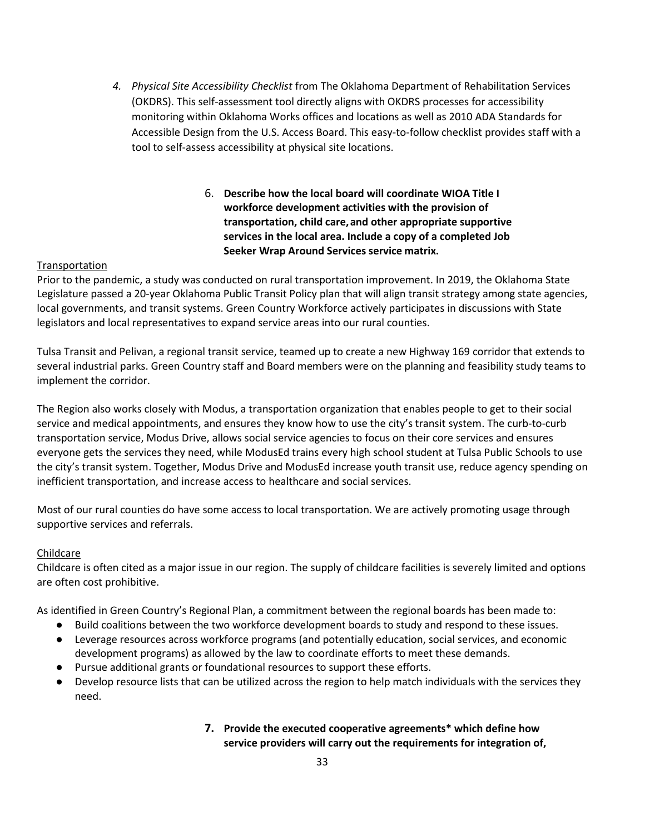- *4. Physical Site Accessibility Checklist* from The Oklahoma Department of Rehabilitation Services (OKDRS). This self-assessment tool directly aligns with OKDRS processes for accessibility monitoring within Oklahoma Works offices and locations as well as 2010 ADA Standards for Accessible Design from the U.S. Access Board. This easy-to-follow checklist provides staff with a tool to self-assess accessibility at physical site locations.
	- 6. **Describe how the local board will coordinate WIOA Title I workforce development activities with the provision of transportation, child care,and other appropriate supportive services in the local area. Include a copy of a completed Job Seeker Wrap Around Services service matrix.**

### Transportation

Prior to the pandemic, a study was conducted on rural transportation improvement. In 2019, the Oklahoma State Legislature passed a 20-year Oklahoma Public Transit Policy plan that will align transit strategy among state agencies, local governments, and transit systems. Green Country Workforce actively participates in discussions with State legislators and local representatives to expand service areas into our rural counties.

Tulsa Transit and Pelivan, a regional transit service, teamed up to create a new Highway 169 corridor that extends to several industrial parks. Green Country staff and Board members were on the planning and feasibility study teams to implement the corridor.

The Region also works closely with Modus, a transportation organization that enables people to get to their social service and medical appointments, and ensures they know how to use the city's transit system. The curb-to-curb transportation service, Modus Drive, allows social service agencies to focus on their core services and ensures everyone gets the services they need, while ModusEd trains every high school student at Tulsa Public Schools to use the city's transit system. Together, Modus Drive and ModusEd increase youth transit use, reduce agency spending on inefficient transportation, and increase access to healthcare and social services.

Most of our rural counties do have some access to local transportation. We are actively promoting usage through supportive services and referrals.

#### Childcare

Childcare is often cited as a major issue in our region. The supply of childcare facilities is severely limited and options are often cost prohibitive.

As identified in Green Country's Regional Plan, a commitment between the regional boards has been made to:

- Build coalitions between the two workforce development boards to study and respond to these issues.
- Leverage resources across workforce programs (and potentially education, social services, and economic development programs) as allowed by the law to coordinate efforts to meet these demands.
- Pursue additional grants or foundational resources to support these efforts.
- Develop resource lists that can be utilized across the region to help match individuals with the services they need.

# **7. Provide the executed cooperative agreements\* which define how service providers will carry out the requirements for integration of,**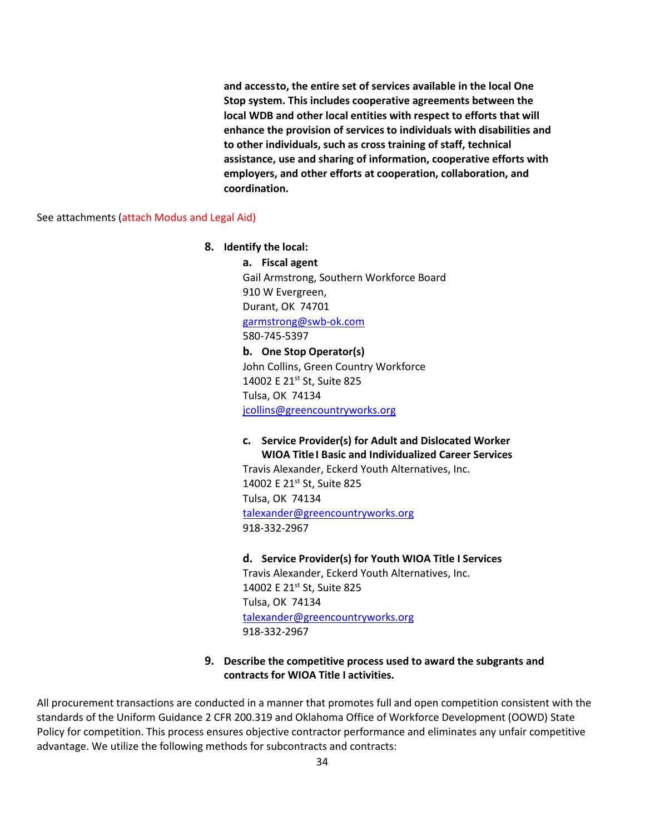**and accessto, the entire set of services available in the local One Stop system. This includes cooperative agreements between the local WDB and other local entities with respect to efforts that will enhance the provision of services to individuals with disabilities and to other individuals, such as cross training of staff, technical assistance, use and sharing of information, cooperative efforts with employers, and other efforts at cooperation, collaboration, and coordination.**

See attachments (attach Modus and Legal Aid)

#### **8. Identify the local:**

**a. Fiscal agent** Gail Armstrong, Southern Workforce Board 910 W Evergreen, Durant, OK 74701 [garmstrong@swb-ok.com](mailto:garmstrong@swb-ok.com) 580-745-5397 **b. One Stop Operator(s)**

John Collins, Green Country Workforce 14002 E 21st St, Suite 825 Tulsa, OK 74134 [jcollins@greencountryworks.org](mailto:jcollins@greencountryworks.org)

**c. Service Provider(s) for Adult and Dislocated Worker WIOA Title I Basic and Individualized Career Services**

Travis Alexander, Eckerd Youth Alternatives, Inc. 14002 E 21st St, Suite 825 Tulsa, OK 74134 [talexander@greencountryworks.org](mailto:talexander@greencountryworks.org) 918-332-2967

#### **d. Service Provider(s) for Youth WIOA Title I Services**

Travis Alexander, Eckerd Youth Alternatives, Inc. 14002 E 21<sup>st</sup> St, Suite 825 Tulsa, OK 74134 [talexander@greencountryworks.org](mailto:talexander@greencountryworks.org) 918-332-2967

**9. Describe the competitive process used to award the subgrants and contracts for WIOA Title I activities.** 

All procurement transactions are conducted in a manner that promotes full and open competition consistent with the standards of the Uniform Guidance 2 CFR 200.319 and Oklahoma Office of Workforce Development (OOWD) State Policy for competition. This process ensures objective contractor performance and eliminates any unfair competitive advantage. We utilize the following methods for subcontracts and contracts: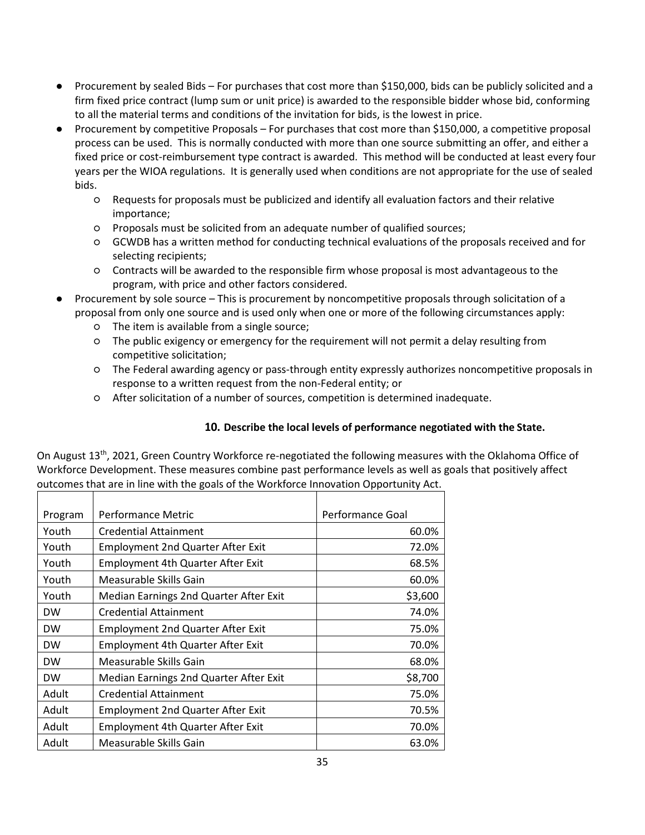- Procurement by sealed Bids For purchases that cost more than \$150,000, bids can be publicly solicited and a firm fixed price contract (lump sum or unit price) is awarded to the responsible bidder whose bid, conforming to all the material terms and conditions of the invitation for bids, is the lowest in price.
- Procurement by competitive Proposals For purchases that cost more than \$150,000, a competitive proposal process can be used. This is normally conducted with more than one source submitting an offer, and either a fixed price or cost-reimbursement type contract is awarded. This method will be conducted at least every four years per the WIOA regulations. It is generally used when conditions are not appropriate for the use of sealed bids.
	- Requests for proposals must be publicized and identify all evaluation factors and their relative importance;
	- Proposals must be solicited from an adequate number of qualified sources;
	- GCWDB has a written method for conducting technical evaluations of the proposals received and for selecting recipients;
	- Contracts will be awarded to the responsible firm whose proposal is most advantageous to the program, with price and other factors considered.
- Procurement by sole source This is procurement by noncompetitive proposals through solicitation of a proposal from only one source and is used only when one or more of the following circumstances apply:
	- The item is available from a single source;
	- The public exigency or emergency for the requirement will not permit a delay resulting from competitive solicitation;
	- The Federal awarding agency or pass-through entity expressly authorizes noncompetitive proposals in response to a written request from the non-Federal entity; or
	- After solicitation of a number of sources, competition is determined inadequate.

## **10. Describe the local levels of performance negotiated with the State.**

On August 13th, 2021, Green Country Workforce re-negotiated the following measures with the Oklahoma Office of Workforce Development. These measures combine past performance levels as well as goals that positively affect outcomes that are in line with the goals of the Workforce Innovation Opportunity Act. Τ

| Program   | Performance Metric                       | Performance Goal |
|-----------|------------------------------------------|------------------|
| Youth     | <b>Credential Attainment</b>             | 60.0%            |
| Youth     | <b>Employment 2nd Quarter After Exit</b> | 72.0%            |
| Youth     | <b>Employment 4th Quarter After Exit</b> | 68.5%            |
| Youth     | Measurable Skills Gain                   | 60.0%            |
| Youth     | Median Earnings 2nd Quarter After Exit   | \$3,600          |
| <b>DW</b> | <b>Credential Attainment</b>             | 74.0%            |
| <b>DW</b> | <b>Employment 2nd Quarter After Exit</b> | 75.0%            |
| <b>DW</b> | <b>Employment 4th Quarter After Exit</b> | 70.0%            |
| <b>DW</b> | Measurable Skills Gain                   | 68.0%            |
| <b>DW</b> | Median Earnings 2nd Quarter After Exit   | \$8,700          |
| Adult     | <b>Credential Attainment</b>             | 75.0%            |
| Adult     | <b>Employment 2nd Quarter After Exit</b> | 70.5%            |
| Adult     | <b>Employment 4th Quarter After Exit</b> | 70.0%            |
| Adult     | Measurable Skills Gain                   | 63.0%            |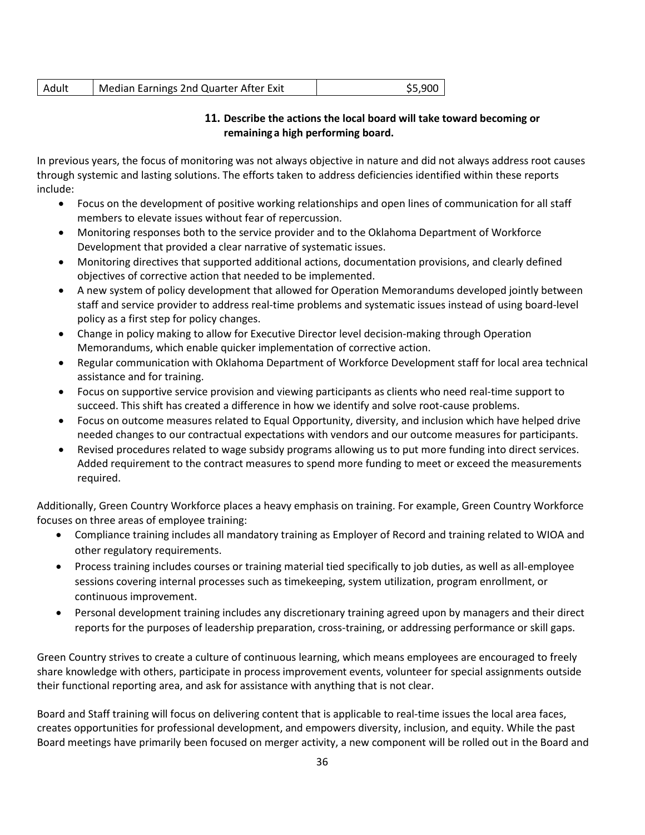| l Adult | Median Earnings 2nd Quarter After Exit | \$5,900 |
|---------|----------------------------------------|---------|
|---------|----------------------------------------|---------|

### **11. Describe the actions the local board will take toward becoming or remaining a high performing board.**

In previous years, the focus of monitoring was not always objective in nature and did not always address root causes through systemic and lasting solutions. The efforts taken to address deficiencies identified within these reports include:

- Focus on the development of positive working relationships and open lines of communication for all staff members to elevate issues without fear of repercussion.
- Monitoring responses both to the service provider and to the Oklahoma Department of Workforce Development that provided a clear narrative of systematic issues.
- Monitoring directives that supported additional actions, documentation provisions, and clearly defined objectives of corrective action that needed to be implemented.
- A new system of policy development that allowed for Operation Memorandums developed jointly between staff and service provider to address real-time problems and systematic issues instead of using board-level policy as a first step for policy changes.
- Change in policy making to allow for Executive Director level decision-making through Operation Memorandums, which enable quicker implementation of corrective action.
- Regular communication with Oklahoma Department of Workforce Development staff for local area technical assistance and for training.
- Focus on supportive service provision and viewing participants as clients who need real-time support to succeed. This shift has created a difference in how we identify and solve root-cause problems.
- Focus on outcome measures related to Equal Opportunity, diversity, and inclusion which have helped drive needed changes to our contractual expectations with vendors and our outcome measures for participants.
- Revised procedures related to wage subsidy programs allowing us to put more funding into direct services. Added requirement to the contract measures to spend more funding to meet or exceed the measurements required.

Additionally, Green Country Workforce places a heavy emphasis on training. For example, Green Country Workforce focuses on three areas of employee training:

- Compliance training includes all mandatory training as Employer of Record and training related to WIOA and other regulatory requirements.
- Process training includes courses or training material tied specifically to job duties, as well as all-employee sessions covering internal processes such as timekeeping, system utilization, program enrollment, or continuous improvement.
- Personal development training includes any discretionary training agreed upon by managers and their direct reports for the purposes of leadership preparation, cross-training, or addressing performance or skill gaps.

Green Country strives to create a culture of continuous learning, which means employees are encouraged to freely share knowledge with others, participate in process improvement events, volunteer for special assignments outside their functional reporting area, and ask for assistance with anything that is not clear.

Board and Staff training will focus on delivering content that is applicable to real-time issues the local area faces, creates opportunities for professional development, and empowers diversity, inclusion, and equity. While the past Board meetings have primarily been focused on merger activity, a new component will be rolled out in the Board and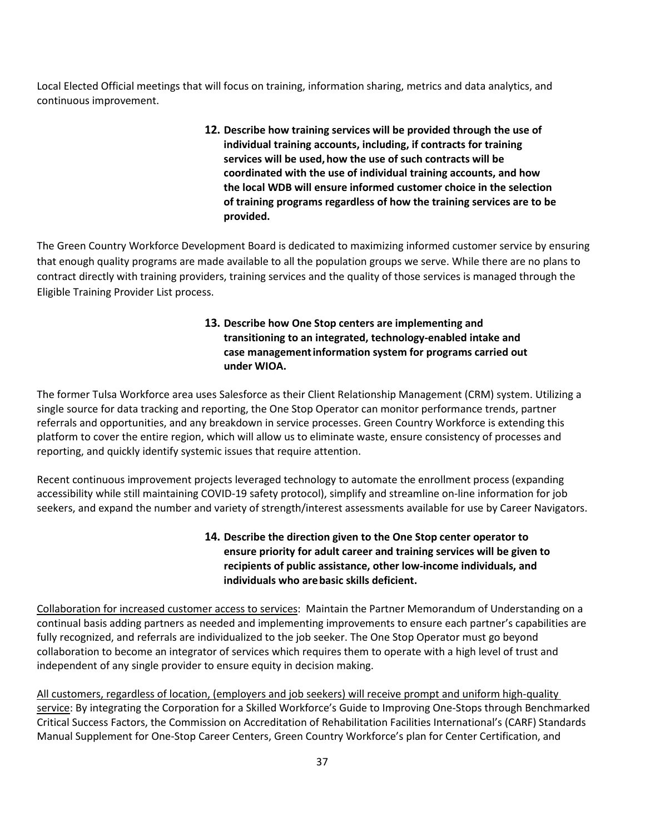Local Elected Official meetings that will focus on training, information sharing, metrics and data analytics, and continuous improvement.

> **12. Describe how training services will be provided through the use of individual training accounts, including, if contracts for training services will be used,how the use of such contracts will be coordinated with the use of individual training accounts, and how the local WDB will ensure informed customer choice in the selection of training programs regardless of how the training services are to be provided.**

The Green Country Workforce Development Board is dedicated to maximizing informed customer service by ensuring that enough quality programs are made available to all the population groups we serve. While there are no plans to contract directly with training providers, training services and the quality of those services is managed through the Eligible Training Provider List process.

## **13. Describe how One Stop centers are implementing and transitioning to an integrated, technology-enabled intake and case managementinformation system for programs carried out under WIOA.**

The former Tulsa Workforce area uses Salesforce as their Client Relationship Management (CRM) system. Utilizing a single source for data tracking and reporting, the One Stop Operator can monitor performance trends, partner referrals and opportunities, and any breakdown in service processes. Green Country Workforce is extending this platform to cover the entire region, which will allow us to eliminate waste, ensure consistency of processes and reporting, and quickly identify systemic issues that require attention.

Recent continuous improvement projects leveraged technology to automate the enrollment process (expanding accessibility while still maintaining COVID-19 safety protocol), simplify and streamline on-line information for job seekers, and expand the number and variety of strength/interest assessments available for use by Career Navigators.

# **14. Describe the direction given to the One Stop center operator to ensure priority for adult career and training services will be given to recipients of public assistance, other low-income individuals, and individuals who arebasic skills deficient.**

Collaboration for increased customer access to services: Maintain the Partner Memorandum of Understanding on a continual basis adding partners as needed and implementing improvements to ensure each partner's capabilities are fully recognized, and referrals are individualized to the job seeker. The One Stop Operator must go beyond collaboration to become an integrator of services which requires them to operate with a high level of trust and independent of any single provider to ensure equity in decision making.

All customers, regardless of location, (employers and job seekers) will receive prompt and uniform high-quality service: By integrating the Corporation for a Skilled Workforce's Guide to Improving One-Stops through Benchmarked Critical Success Factors, the Commission on Accreditation of Rehabilitation Facilities International's (CARF) Standards Manual Supplement for One-Stop Career Centers, Green Country Workforce's plan for Center Certification, and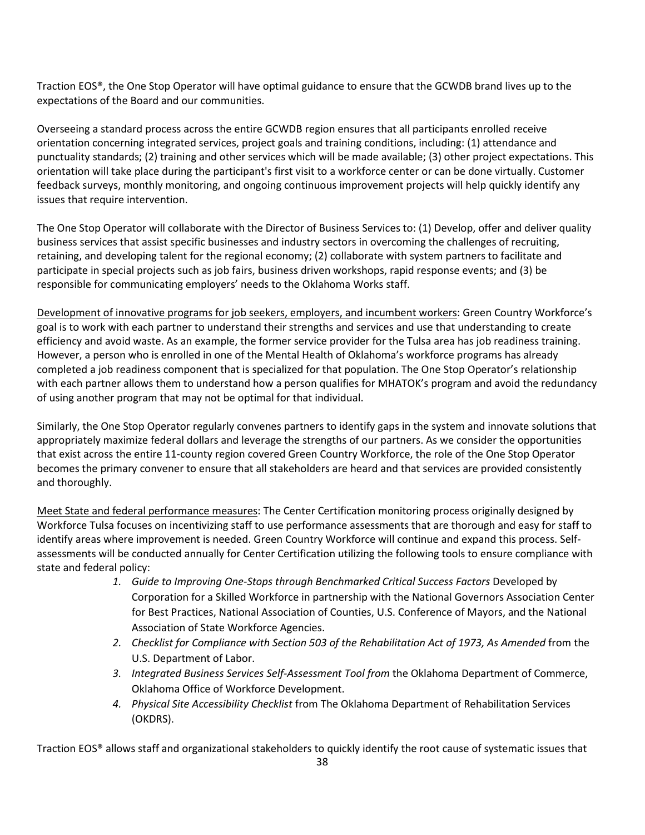Traction EOS®, the One Stop Operator will have optimal guidance to ensure that the GCWDB brand lives up to the expectations of the Board and our communities.

Overseeing a standard process across the entire GCWDB region ensures that all participants enrolled receive orientation concerning integrated services, project goals and training conditions, including: (1) attendance and punctuality standards; (2) training and other services which will be made available; (3) other project expectations. This orientation will take place during the participant's first visit to a workforce center or can be done virtually. Customer feedback surveys, monthly monitoring, and ongoing continuous improvement projects will help quickly identify any issues that require intervention.

The One Stop Operator will collaborate with the Director of Business Services to: (1) Develop, offer and deliver quality business services that assist specific businesses and industry sectors in overcoming the challenges of recruiting, retaining, and developing talent for the regional economy; (2) collaborate with system partners to facilitate and participate in special projects such as job fairs, business driven workshops, rapid response events; and (3) be responsible for communicating employers' needs to the Oklahoma Works staff.

Development of innovative programs for job seekers, employers, and incumbent workers: Green Country Workforce's goal is to work with each partner to understand their strengths and services and use that understanding to create efficiency and avoid waste. As an example, the former service provider for the Tulsa area has job readiness training. However, a person who is enrolled in one of the Mental Health of Oklahoma's workforce programs has already completed a job readiness component that is specialized for that population. The One Stop Operator's relationship with each partner allows them to understand how a person qualifies for MHATOK's program and avoid the redundancy of using another program that may not be optimal for that individual.

Similarly, the One Stop Operator regularly convenes partners to identify gaps in the system and innovate solutions that appropriately maximize federal dollars and leverage the strengths of our partners. As we consider the opportunities that exist across the entire 11-county region covered Green Country Workforce, the role of the One Stop Operator becomes the primary convener to ensure that all stakeholders are heard and that services are provided consistently and thoroughly.

Meet State and federal performance measures: The Center Certification monitoring process originally designed by Workforce Tulsa focuses on incentivizing staff to use performance assessments that are thorough and easy for staff to identify areas where improvement is needed. Green Country Workforce will continue and expand this process. Selfassessments will be conducted annually for Center Certification utilizing the following tools to ensure compliance with state and federal policy:

- 1. Guide to Improving One-Stops through Benchmarked Critical Success Factors Developed by Corporation for a Skilled Workforce in partnership with the National Governors Association Center for Best Practices, National Association of Counties, U.S. Conference of Mayors, and the National Association of State Workforce Agencies.
- *2. Checklist for Compliance with Section 503 of the Rehabilitation Act of 1973, As Amended* from the U.S. Department of Labor.
- *3. Integrated Business Services Self-Assessment Tool from* the Oklahoma Department of Commerce, Oklahoma Office of Workforce Development.
- *4. Physical Site Accessibility Checklist* from The Oklahoma Department of Rehabilitation Services (OKDRS).

Traction EOS® allows staff and organizational stakeholders to quickly identify the root cause of systematic issues that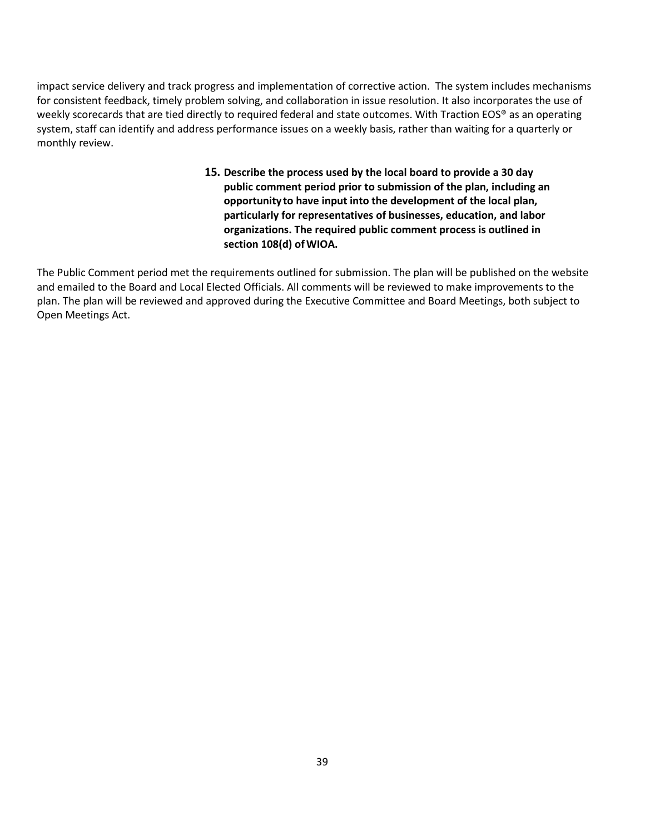impact service delivery and track progress and implementation of corrective action. The system includes mechanisms for consistent feedback, timely problem solving, and collaboration in issue resolution. It also incorporates the use of weekly scorecards that are tied directly to required federal and state outcomes. With Traction EOS® as an operating system, staff can identify and address performance issues on a weekly basis, rather than waiting for a quarterly or monthly review.

> **15. Describe the process used by the local board to provide a 30 day public comment period prior to submission of the plan, including an opportunity to have input into the development of the local plan, particularly for representatives of businesses, education, and labor organizations. The required public comment process is outlined in section 108(d) ofWIOA.**

The Public Comment period met the requirements outlined for submission. The plan will be published on the website and emailed to the Board and Local Elected Officials. All comments will be reviewed to make improvements to the plan. The plan will be reviewed and approved during the Executive Committee and Board Meetings, both subject to Open Meetings Act.